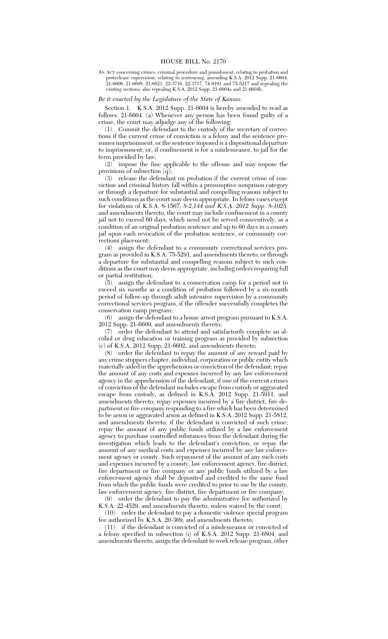AN ACT concerning crimes, criminal procedure and punishment; relating to probation and postrelease supervision; relating to sentencing; amending K.S.A. 2012 Supp. 21-6604, 21-6606, 21-6608, 21-6821, 22-3716, 22-3717, 74-9101 and 75-5217 and repealing the existing sections; also repealing K.S.A. 2012 Supp. 21-6604a and 21-6604b.

## *Be it enacted by the Legislature of the State of Kansas:*

Section 1. K.S.A. 2012 Supp. 21-6604 is hereby amended to read as follows: 21-6604. (a) Whenever any person has been found guilty of a crime, the court may adjudge any of the following:

(1) Commit the defendant to the custody of the secretary of corrections if the current crime of conviction is a felony and the sentence presumes imprisonment, or the sentence imposed is a dispositional departure to imprisonment; or, if confinement is for a misdemeanor, to jail for the term provided by law;

(2) impose the fine applicable to the offense and may impose the provisions of subsection (q);

(3) release the defendant on probation if the current crime of conviction and criminal history fall within a presumptive nonprison category or through a departure for substantial and compelling reasons subject to such conditions as the court may deem appropriate. In felony cases except for violations of K.S.A. 8-1567, *8-2,144 and K.S.A. 2012 Supp. 8-1025,* and amendments thereto, the court may include confinement in a county jail not to exceed 60 days, which need not be served consecutively, as a condition of an original probation sentence and up to 60 days in a county jail upon each revocation of the probation sentence, or community corrections placement;

(4) assign the defendant to a community correctional services program as provided in K.S.A. 75-5291, and amendments thereto, or through a departure for substantial and compelling reasons subject to such conditions as the court may deem appropriate, including orders requiring full or partial restitution;

(5) assign the defendant to a conservation camp for a period not to exceed six months as a condition of probation followed by a six-month period of follow-up through adult intensive supervision by a community correctional services program, if the offender successfully completes the conservation camp program;

(6) assign the defendant to a house arrest program pursuant to K.S.A. 2012 Supp. 21-6609, and amendments thereto;

(7) order the defendant to attend and satisfactorily complete an alcohol or drug education or training program as provided by subsection (c) of K.S.A. 2012 Supp. 21-6602, and amendments thereto;

(8) order the defendant to repay the amount of any reward paid by any crime stoppers chapter, individual, corporation or public entity which materially aided in the apprehension or conviction of the defendant; repay the amount of any costs and expenses incurred by any law enforcement agency in the apprehension of the defendant, if one of the current crimes of conviction of the defendant includes escape from custody or aggravated escape from custody, as defined in K.S.A. 2012 Supp. 21-5911, and amendments thereto; repay expenses incurred by a fire district, fire department or fire company responding to a fire which has been determined to be arson or aggravated arson as defined in K.S.A. 2012 Supp. 21-5812, and amendments thereto, if the defendant is convicted of such crime; repay the amount of any public funds utilized by a law enforcement agency to purchase controlled substances from the defendant during the investigation which leads to the defendant's conviction; or repay the amount of any medical costs and expenses incurred by any law enforcement agency or county. Such repayment of the amount of any such costs and expenses incurred by a county, law enforcement agency, fire district, fire department or fire company or any public funds utilized by a law enforcement agency shall be deposited and credited to the same fund from which the public funds were credited to prior to use by the county, law enforcement agency, fire district, fire department or fire company;

(9) order the defendant to pay the administrative fee authorized by K.S.A. 22-4529, and amendments thereto, unless waived by the court;

(10) order the defendant to pay a domestic violence special program fee authorized by K.S.A. 20-369, and amendments thereto;

(11) if the defendant is convicted of a misdemeanor or convicted of a felony specified in subsection (i) of K.S.A. 2012 Supp. 21-6804, and amendments thereto, assign the defendant to work release program, other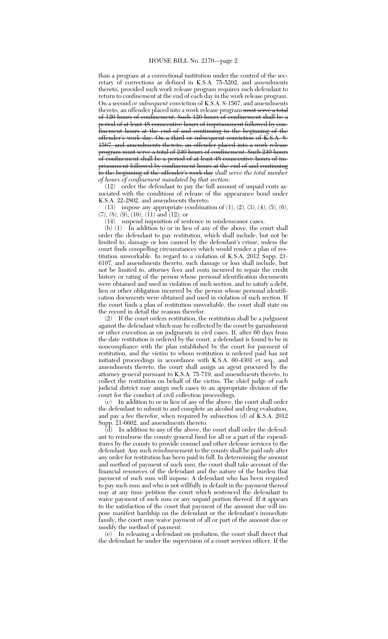than a program at a correctional institution under the control of the secretary of corrections as defined in K.S.A. 75-5202, and amendments thereto, provided such work release program requires such defendant to return to confinement at the end of each day in the work release program. On a second *or subsequent* conviction of K.S.A. 8-1567, and amendments thereto, an offender placed into a work release program must serve a total of 120 hours of confinement. Such 120 hours of confinement shall be a period of at least 48 consecutive hours of imprisonment followed by confinement hours at the end of and continuing to the beginning of the offender's work day. On a third or subsequent conviction of K.S.A. 8- 1567, and amendments thereto, an offender placed into a work release program must serve a total of 240 hours of confinement. Such 240 hours of confinement shall be a period of at least 48 consecutive hours of imprisonment followed by confinement hours at the end of and continuing to the beginning of the offender's work day *shall serve the total number of hours of confinement mandated by that section*;

(12) order the defendant to pay the full amount of unpaid costs associated with the conditions of release of the appearance bond under K.S.A. 22-2802, and amendments thereto;

(13) impose any appropriate combination of  $(1)$ ,  $(2)$ ,  $(3)$ ,  $(4)$ ,  $(5)$ ,  $(6)$ ,  $(7), (8), (9), (10), (11)$  and  $(12)$ ; or

(14) suspend imposition of sentence in misdemeanor cases.

(b) (1) In addition to or in lieu of any of the above, the court shall order the defendant to pay restitution, which shall include, but not be limited to, damage or loss caused by the defendant's crime, unless the court finds compelling circumstances which would render a plan of restitution unworkable. In regard to a violation of K.S.A. 2012 Supp. 21- 6107, and amendments thereto, such damage or loss shall include, but not be limited to, attorney fees and costs incurred to repair the credit history or rating of the person whose personal identification documents were obtained and used in violation of such section, and to satisfy a debt, lien or other obligation incurred by the person whose personal identification documents were obtained and used in violation of such section. If the court finds a plan of restitution unworkable, the court shall state on the record in detail the reasons therefor.

(2) If the court orders restitution, the restitution shall be a judgment against the defendant which may be collected by the court by garnishment or other execution as on judgments in civil cases. If, after 60 days from the date restitution is ordered by the court, a defendant is found to be in noncompliance with the plan established by the court for payment of restitution, and the victim to whom restitution is ordered paid has not initiated proceedings in accordance with K.S.A. 60-4301 et seq., and amendments thereto, the court shall assign an agent procured by the attorney general pursuant to K.S.A. 75-719, and amendments thereto, to collect the restitution on behalf of the victim. The chief judge of each judicial district may assign such cases to an appropriate division of the court for the conduct of civil collection proceedings.

(c) In addition to or in lieu of any of the above, the court shall order the defendant to submit to and complete an alcohol and drug evaluation, and pay a fee therefor, when required by subsection (d) of K.S.A. 2012 Supp. 21-6602, and amendments thereto.

 $\overline{d}$  In addition to any of the above, the court shall order the defendant to reimburse the county general fund for all or a part of the expenditures by the county to provide counsel and other defense services to the defendant. Any such reimbursement to the county shall be paid only after any order for restitution has been paid in full. In determining the amount and method of payment of such sum, the court shall take account of the financial resources of the defendant and the nature of the burden that payment of such sum will impose. A defendant who has been required to pay such sum and who is not willfully in default in the payment thereof may at any time petition the court which sentenced the defendant to waive payment of such sum or any unpaid portion thereof. If it appears to the satisfaction of the court that payment of the amount due will impose manifest hardship on the defendant or the defendant's immediate family, the court may waive payment of all or part of the amount due or modify the method of payment.

(e) In releasing a defendant on probation, the court shall direct that the defendant be under the supervision of a court services officer. If the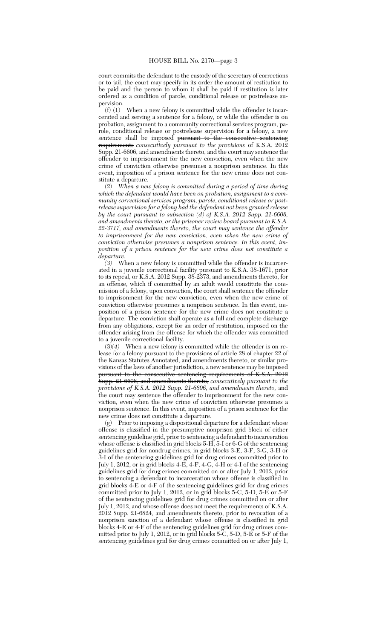court commits the defendant to the custody of the secretary of corrections or to jail, the court may specify in its order the amount of restitution to be paid and the person to whom it shall be paid if restitution is later ordered as a condition of parole, conditional release or postrelease supervision.

(f) (1) When a new felony is committed while the offender is incarcerated and serving a sentence for a felony, or while the offender is on probation, assignment to a community correctional services program, parole, conditional release or postrelease supervision for a felony, a new sentence shall be imposed pursuant to the consecutive sentencing requirements *consecutively pursuant to the provisions* of K.S.A. 2012 Supp. 21-6606, and amendments thereto, and the court may sentence the offender to imprisonment for the new conviction, even when the new crime of conviction otherwise presumes a nonprison sentence. In this event, imposition of a prison sentence for the new crime does not constitute a departure.

(2) *When a new felony is committed during a period of time during which the defendant would have been on probation, assignment to a community correctional services program, parole, conditional release or postrelease supervision for a felony had the defendant not been granted release by the court pursuant to subsection (d) of K.S.A. 2012 Supp. 21-6608, and amendments thereto, or the prisoner review board pursuant to K.S.A. 22-3717, and amendments thereto, the court may sentence the offender to imprisonment for the new conviction, even when the new crime of conviction otherwise presumes a nonprison sentence. In this event, imposition of a prison sentence for the new crime does not constitute a departure.*

*(3)* When a new felony is committed while the offender is incarcerated in a juvenile correctional facility pursuant to K.S.A. 38-1671, prior to its repeal, or K.S.A. 2012 Supp. 38-2373, and amendments thereto, for an offense, which if committed by an adult would constitute the commission of a felony, upon conviction, the court shall sentence the offender to imprisonment for the new conviction, even when the new crime of conviction otherwise presumes a nonprison sentence. In this event, imposition of a prison sentence for the new crime does not constitute a departure. The conviction shall operate as a full and complete discharge from any obligations, except for an order of restitution, imposed on the offender arising from the offense for which the offender was committed to a juvenile correctional facility.

 $\left(\frac{3}{4}\right)$  When a new felony is committed while the offender is on release for a felony pursuant to the provisions of article 28 of chapter 22 of the Kansas Statutes Annotated, and amendments thereto, or similar provisions of the laws of another jurisdiction, a new sentence may be imposed pursuant to the consecutive sentencing requirements of K.S.A. 2012 Supp. 21-6606, and amendments thereto, *consecutively pursuant to the provisions of K.S.A. 2012 Supp. 21-6606, and amendments thereto,* and the court may sentence the offender to imprisonment for the new conviction, even when the new crime of conviction otherwise presumes a nonprison sentence. In this event, imposition of a prison sentence for the new crime does not constitute a departure.

(g) Prior to imposing a dispositional departure for a defendant whose offense is classified in the presumptive nonprison grid block of either sentencing guideline grid, prior to sentencing a defendant to incarceration whose offense is classified in grid blocks 5-H, 5-I or 6-G of the sentencing guidelines grid for nondrug crimes, in grid blocks 3-E, 3-F, 3-G, 3-H or 3-I of the sentencing guidelines grid for drug crimes committed prior to July 1, 2012, or in grid blocks  $4-\widetilde{E}$ ,  $4-\overline{F}$ ,  $4-\overline{G}$ ,  $4-\overline{H}$  or  $4-\overline{I}$  of the sentencing guidelines grid for drug crimes committed on or after July 1, 2012, prior to sentencing a defendant to incarceration whose offense is classified in grid blocks 4-E or 4-F of the sentencing guidelines grid for drug crimes committed prior to July 1, 2012, or in grid blocks 5-C, 5-D, 5-E or 5-F of the sentencing guidelines grid for drug crimes committed on or after July 1, 2012, and whose offense does not meet the requirements of K.S.A. 2012 Supp. 21-6824, and amendments thereto, prior to revocation of a nonprison sanction of a defendant whose offense is classified in grid blocks 4-E or 4-F of the sentencing guidelines grid for drug crimes committed prior to July 1, 2012, or in grid blocks 5-C, 5-D, 5-E or 5-F of the sentencing guidelines grid for drug crimes committed on or after July 1,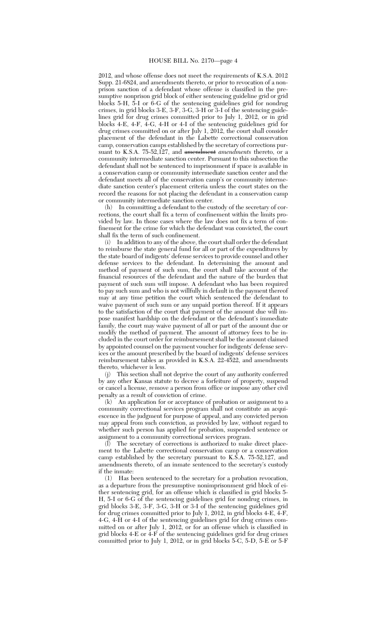2012, and whose offense does not meet the requirements of K.S.A. 2012 Supp. 21-6824, and amendments thereto, or prior to revocation of a nonprison sanction of a defendant whose offense is classified in the presumptive nonprison grid block of either sentencing guideline grid or grid blocks 5-H, 5-I or 6-G of the sentencing guidelines grid for nondrug crimes, in grid blocks 3-E, 3-F, 3-G, 3-H or 3-I of the sentencing guidelines grid for drug crimes committed prior to July 1, 2012, or in grid blocks 4-E, 4-F, 4-G, 4-H or 4-I of the sentencing guidelines grid for drug crimes committed on or after July 1, 2012, the court shall consider placement of the defendant in the Labette correctional conservation camp, conservation camps established by the secretary of corrections pursuant to K.S.A. 75-52,127, and amendment *amendments* thereto, or a community intermediate sanction center. Pursuant to this subsection the defendant shall not be sentenced to imprisonment if space is available in a conservation camp or community intermediate sanction center and the defendant meets all of the conservation camp's or community intermediate sanction center's placement criteria unless the court states on the record the reasons for not placing the defendant in a conservation camp or community intermediate sanction center.

(h) In committing a defendant to the custody of the secretary of corrections, the court shall fix a term of confinement within the limits provided by law. In those cases where the law does not fix a term of confinement for the crime for which the defendant was convicted, the court shall fix the term of such confinement.

In addition to any of the above, the court shall order the defendant to reimburse the state general fund for all or part of the expenditures by the state board of indigents' defense services to provide counsel and other defense services to the defendant. In determining the amount and method of payment of such sum, the court shall take account of the financial resources of the defendant and the nature of the burden that payment of such sum will impose. A defendant who has been required to pay such sum and who is not willfully in default in the payment thereof may at any time petition the court which sentenced the defendant to waive payment of such sum or any unpaid portion thereof. If it appears to the satisfaction of the court that payment of the amount due will impose manifest hardship on the defendant or the defendant's immediate family, the court may waive payment of all or part of the amount due or modify the method of payment. The amount of attorney fees to be included in the court order for reimbursement shall be the amount claimed by appointed counsel on the payment voucher for indigents' defense services or the amount prescribed by the board of indigents' defense services reimbursement tables as provided in K.S.A. 22-4522, and amendments thereto, whichever is less.

(j) This section shall not deprive the court of any authority conferred by any other Kansas statute to decree a forfeiture of property, suspend or cancel a license, remove a person from office or impose any other civil penalty as a result of conviction of crime.

(k) An application for or acceptance of probation or assignment to a community correctional services program shall not constitute an acquiescence in the judgment for purpose of appeal, and any convicted person may appeal from such conviction, as provided by law, without regard to whether such person has applied for probation, suspended sentence or assignment to a community correctional services program.

(l) The secretary of corrections is authorized to make direct placement to the Labette correctional conservation camp or a conservation camp established by the secretary pursuant to K.S.A. 75-52,127, and amendments thereto, of an inmate sentenced to the secretary's custody if the inmate:

(1) Has been sentenced to the secretary for a probation revocation, as a departure from the presumptive nonimprisonment grid block of either sentencing grid, for an offense which is classified in grid blocks 5- H, 5-I or 6-G of the sentencing guidelines grid for nondrug crimes, in grid blocks 3-E, 3-F, 3-G, 3-H or 3-I of the sentencing guidelines grid for drug crimes committed prior to July 1, 2012, in grid blocks 4-E, 4-F, 4-G, 4-H or 4-I of the sentencing guidelines grid for drug crimes committed on or after July 1, 2012, or for an offense which is classified in grid blocks 4-E or 4-F of the sentencing guidelines grid for drug crimes committed prior to July 1, 2012, or in grid blocks 5-C, 5-D, 5-E or 5-F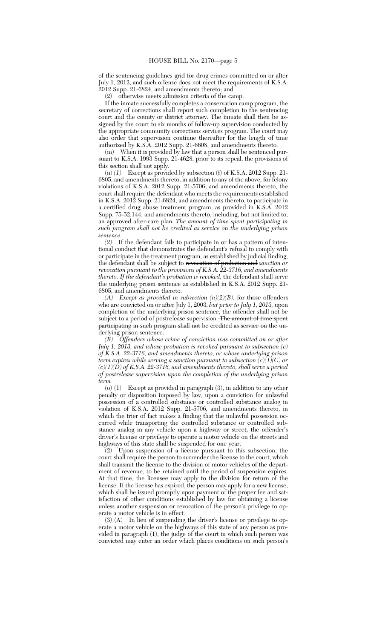of the sentencing guidelines grid for drug crimes committed on or after July 1, 2012, and such offense does not meet the requirements of K.S.A. 2012 Supp. 21-6824, and amendments thereto; and

(2) otherwise meets admission criteria of the camp.

If the inmate successfully completes a conservation camp program, the secretary of corrections shall report such completion to the sentencing court and the county or district attorney. The inmate shall then be assigned by the court to six months of follow-up supervision conducted by the appropriate community corrections services program. The court may also order that supervision continue thereafter for the length of time authorized by K.S.A. 2012 Supp. 21-6608, and amendments thereto.

(m) When it is provided by law that a person shall be sentenced pursuant to K.S.A. 1993 Supp. 21-4628, prior to its repeal, the provisions of this section shall not apply.

(n) *(1)* Except as provided by subsection (f) of K.S.A. 2012 Supp. 21- 6805, and amendments thereto, in addition to any of the above, for felony violations of K.S.A. 2012 Supp. 21-5706, and amendments thereto, the court shall require the defendant who meets the requirements established in K.S.A. 2012 Supp. 21-6824, and amendments thereto, to participate in a certified drug abuse treatment program, as provided in K.S.A. 2012 Supp. 75-52,144, and amendments thereto, including, but not limited to, an approved after-care plan. *The amount of time spent participating in such program shall not be credited as service on the underlying prison sentence.*

*(2)* If the defendant fails to participate in or has a pattern of intentional conduct that demonstrates the defendant's refusal to comply with or participate in the treatment program, as established by judicial finding, the defendant shall be subject to revocation of probation and *sanction or revocation pursuant to the provisions of K.S.A. 22-3716, and amendments thereto. If the defendant's probation is revoked,* the defendant shall serve the underlying prison sentence as established in K.S.A. 2012 Supp. 21- 6805, and amendments thereto.

*(A) Except as provided in subsection (n)(2)(B),* for those offenders who are convicted on or after July 1, 2003, *but prior to July 1, 2013,* upon completion of the underlying prison sentence, the offender shall not be subject to a period of postrelease supervision. The amount of time spent participating in such program shall not be credited as service on the underlying prison sentence.

*(B) Offenders whose crime of conviction was committed on or after July 1, 2013, and whose probation is revoked pursuant to subsection (c) of K.S.A. 22-3716, and amendments thereto, or whose underlying prison term expires while serving a sanction pursuant to subsection (c)(1)(C) or (c)(1)(D) of K.S.A. 22-3716, and amendments thereto, shall serve a period of postrelease supervision upon the completion of the underlying prison term.*

(o) (1) Except as provided in paragraph (3), in addition to any other penalty or disposition imposed by law, upon a conviction for unlawful possession of a controlled substance or controlled substance analog in violation of K.S.A. 2012 Supp. 21-5706, and amendments thereto, in which the trier of fact makes a finding that the unlawful possession occurred while transporting the controlled substance or controlled substance analog in any vehicle upon a highway or street, the offender's driver's license or privilege to operate a motor vehicle on the streets and highways of this state shall be suspended for one year.

(2) Upon suspension of a license pursuant to this subsection, the court shall require the person to surrender the license to the court, which shall transmit the license to the division of motor vehicles of the department of revenue, to be retained until the period of suspension expires. At that time, the licensee may apply to the division for return of the license. If the license has expired, the person may apply for a new license, which shall be issued promptly upon payment of the proper fee and satisfaction of other conditions established by law for obtaining a license unless another suspension or revocation of the person's privilege to operate a motor vehicle is in effect.

(3) (A) In lieu of suspending the driver's license or privilege to operate a motor vehicle on the highways of this state of any person as provided in paragraph (1), the judge of the court in which such person was convicted may enter an order which places conditions on such person's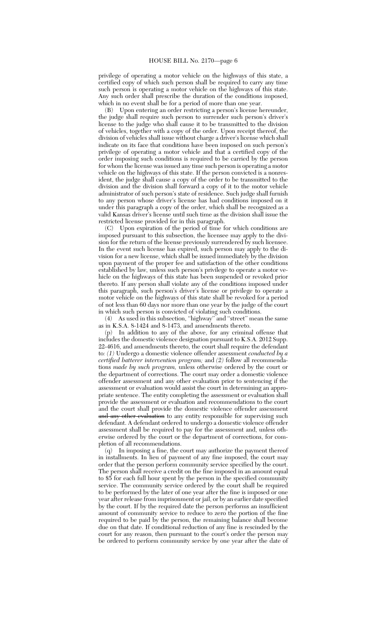privilege of operating a motor vehicle on the highways of this state, a certified copy of which such person shall be required to carry any time such person is operating a motor vehicle on the highways of this state. Any such order shall prescribe the duration of the conditions imposed, which in no event shall be for a period of more than one year.

(B) Upon entering an order restricting a person's license hereunder, the judge shall require such person to surrender such person's driver's license to the judge who shall cause it to be transmitted to the division of vehicles, together with a copy of the order. Upon receipt thereof, the division of vehicles shall issue without charge a driver's license which shall indicate on its face that conditions have been imposed on such person's privilege of operating a motor vehicle and that a certified copy of the order imposing such conditions is required to be carried by the person for whom the license was issued any time such person is operating a motor vehicle on the highways of this state. If the person convicted is a nonresident, the judge shall cause a copy of the order to be transmitted to the division and the division shall forward a copy of it to the motor vehicle administrator of such person's state of residence. Such judge shall furnish to any person whose driver's license has had conditions imposed on it under this paragraph a copy of the order, which shall be recognized as a valid Kansas driver's license until such time as the division shall issue the restricted license provided for in this paragraph.

(C) Upon expiration of the period of time for which conditions are imposed pursuant to this subsection, the licensee may apply to the division for the return of the license previously surrendered by such licensee. In the event such license has expired, such person may apply to the division for a new license, which shall be issued immediately by the division upon payment of the proper fee and satisfaction of the other conditions established by law, unless such person's privilege to operate a motor vehicle on the highways of this state has been suspended or revoked prior thereto. If any person shall violate any of the conditions imposed under this paragraph, such person's driver's license or privilege to operate a motor vehicle on the highways of this state shall be revoked for a period of not less than 60 days nor more than one year by the judge of the court in which such person is convicted of violating such conditions.

(4) As used in this subsection, ''highway'' and ''street'' mean the same as in K.S.A. 8-1424 and 8-1473, and amendments thereto.

(p) In addition to any of the above, for any criminal offense that includes the domestic violence designation pursuant to K.S.A. 2012 Supp. 22-4616, and amendments thereto, the court shall require the defendant to*: (1)* Undergo a domestic violence offender assessment *conducted by a certified batterer intervention program;* and *(2)* follow all recommendations *made by such program,* unless otherwise ordered by the court or the department of corrections. The court may order a domestic violence offender assessment and any other evaluation prior to sentencing if the assessment or evaluation would assist the court in determining an appropriate sentence. The entity completing the assessment or evaluation shall provide the assessment or evaluation and recommendations to the court and the court shall provide the domestic violence offender assessment and any other evaluation to any entity responsible for supervising such defendant. A defendant ordered to undergo a domestic violence offender assessment shall be required to pay for the assessment and, unless otherwise ordered by the court or the department of corrections, for completion of all recommendations.

(q) In imposing a fine, the court may authorize the payment thereof in installments. In lieu of payment of any fine imposed, the court may order that the person perform community service specified by the court. The person shall receive a credit on the fine imposed in an amount equal to \$5 for each full hour spent by the person in the specified community service. The community service ordered by the court shall be required to be performed by the later of one year after the fine is imposed or one year after release from imprisonment or jail, or by an earlier date specified by the court. If by the required date the person performs an insufficient amount of community service to reduce to zero the portion of the fine required to be paid by the person, the remaining balance shall become due on that date. If conditional reduction of any fine is rescinded by the court for any reason, then pursuant to the court's order the person may be ordered to perform community service by one year after the date of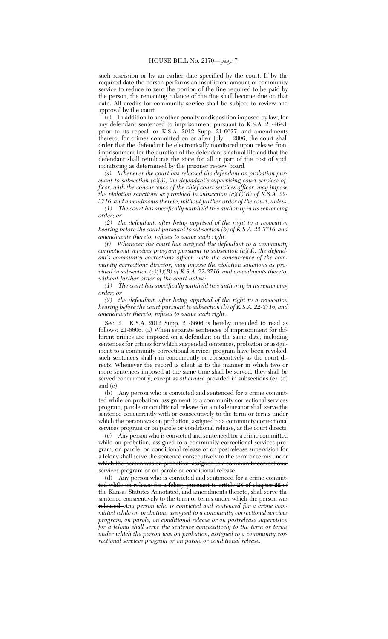such rescission or by an earlier date specified by the court. If by the required date the person performs an insufficient amount of community service to reduce to zero the portion of the fine required to be paid by the person, the remaining balance of the fine shall become due on that date. All credits for community service shall be subject to review and approval by the court.

(r) In addition to any other penalty or disposition imposed by law, for any defendant sentenced to imprisonment pursuant to K.S.A. 21-4643, prior to its repeal, or K.S.A. 2012 Supp. 21-6627, and amendments thereto, for crimes committed on or after July 1, 2006, the court shall order that the defendant be electronically monitored upon release from imprisonment for the duration of the defendant's natural life and that the defendant shall reimburse the state for all or part of the cost of such monitoring as determined by the prisoner review board.

*(s) Whenever the court has released the defendant on probation pursuant to subsection (a)(3), the defendant's supervising court services officer, with the concurrence of the chief court services officer, may impose the violation sanctions as provided in subsection*  $(c)(I)(B)$  *of KS.A. 22-3716, and amendments thereto, without further order of the court, unless:*

*(1) The court has specifically withheld this authority in its sentencing order; or*

*(2) the defendant, after being apprised of the right to a revocation hearing before the court pursuant to subsection (b) of K.S.A. 22-3716, and amendments thereto, refuses to waive such right.*

*(t) Whenever the court has assigned the defendant to a community correctional services program pursuant to subsection (a)(4), the defendant's community corrections officer, with the concurrence of the community corrections director, may impose the violation sanctions as provided in subsection (c)(1)(B) of K.S.A. 22-3716, and amendments thereto, without further order of the court unless:*

*(1) The court has specifically withheld this authority in its sentencing order; or*

*(2) the defendant, after being apprised of the right to a revocation hearing before the court pursuant to subsection (b) of K.S.A. 22-3716, and amendments thereto, refuses to waive such right.*

Sec. 2. K.S.A. 2012 Supp. 21-6606 is hereby amended to read as follows: 21-6606. (a) When separate sentences of imprisonment for different crimes are imposed on a defendant on the same date, including sentences for crimes for which suspended sentences, probation or assignment to a community correctional services program have been revoked, such sentences shall run concurrently or consecutively as the court directs. Whenever the record is silent as to the manner in which two or more sentences imposed at the same time shall be served, they shall be served concurrently, except as *otherwise* provided in subsections (c), (d) and (e).

(b) Any person who is convicted and sentenced for a crime committed while on probation, assignment to a community correctional services program, parole or conditional release for a misdemeanor shall serve the sentence concurrently with or consecutively to the term or terms under which the person was on probation, assigned to a community correctional services program or on parole or conditional release, as the court directs.

(c) Any person who is convicted and sentenced for a crime committed while on probation, assigned to a community correctional services program, on parole, on conditional release or on postrelease supervision for a felony shall serve the sentence consecutively to the term or terms under which the person was on probation, assigned to a community correctional services program or on parole or conditional release.

(d) Any person who is convicted and sentenced for a crime committed while on release for a felony pursuant to article 28 of chapter 22 of the Kansas Statutes Annotated, and amendments thereto, shall serve the sentence consecutively to the term or terms under which the person was released. *Any person who is convicted and sentenced for a crime committed while on probation, assigned to a community correctional services program, on parole, on conditional release or on postrelease supervision for a felony shall serve the sentence consecutively to the term or terms under which the person was on probation, assigned to a community correctional services program or on parole or conditional release.*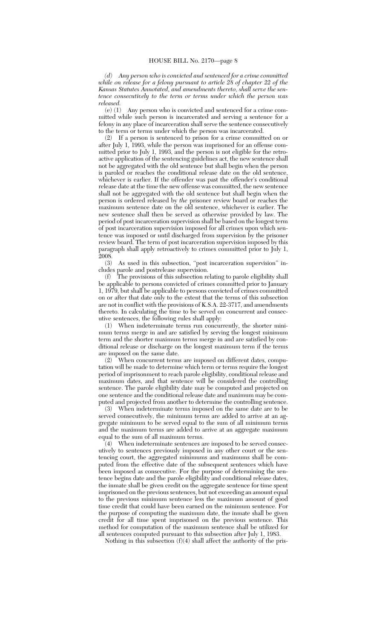*(d) Any person who is convicted and sentenced for a crime committed while on release for a felony pursuant to article 28 of chapter 22 of the Kansas Statutes Annotated, and amendments thereto, shall serve the sentence consecutively to the term or terms under which the person was released.*<br>(e) (1)

Any person who is convicted and sentenced for a crime committed while such person is incarcerated and serving a sentence for a felony in any place of incarceration shall serve the sentence consecutively to the term or terms under which the person was incarcerated.

(2) If a person is sentenced to prison for a crime committed on or after July 1, 1993, while the person was imprisoned for an offense committed prior to July 1, 1993, and the person is not eligible for the retroactive application of the sentencing guidelines act, the new sentence shall not be aggregated with the old sentence but shall begin when the person is paroled or reaches the conditional release date on the old sentence, whichever is earlier. If the offender was past the offender's conditional release date at the time the new offense was committed, the new sentence shall not be aggregated with the old sentence but shall begin when the person is ordered released by *the* prisoner review board or reaches the maximum sentence date on the old sentence, whichever is earlier. The new sentence shall then be served as otherwise provided by law. The period of post incarceration supervision shall be based on the longest term of post incarceration supervision imposed for all crimes upon which sentence was imposed or until discharged from supervision by the prisoner review board. The term of post incarceration supervision imposed by this paragraph shall apply retroactively to crimes committed prior to July 1, 2008.

(3) As used in this subsection, ''post incarceration supervision'' includes parole and postrelease supervision.<br>(f) The provisions of this subsection re

The provisions of this subsection relating to parole eligibility shall be applicable to persons convicted of crimes committed prior to January 1, 1979, but shall be applicable to persons convicted of crimes committed on or after that date only to the extent that the terms of this subsection are not in conflict with the provisions of K.S.A. 22-3717, and amendments thereto. In calculating the time to be served on concurrent and consecutive sentences, the following rules shall apply:

(1) When indeterminate terms run concurrently, the shorter minimum terms merge in and are satisfied by serving the longest minimum term and the shorter maximum terms merge in and are satisfied by conditional release or discharge on the longest maximum term if the terms are imposed on the same date.

(2) When concurrent terms are imposed on different dates, computation will be made to determine which term or terms require the longest period of imprisonment to reach parole eligibility, conditional release and maximum dates, and that sentence will be considered the controlling sentence. The parole eligibility date may be computed and projected on one sentence and the conditional release date and maximum may be computed and projected from another to determine the controlling sentence.<br>(3) When indeterminate terms imposed on the same date are to be

When indeterminate terms imposed on the same date are to be served consecutively, the minimum terms are added to arrive at an aggregate minimum to be served equal to the sum of all minimum terms and the maximum terms are added to arrive at an aggregate maximum equal to the sum of all maximum terms.

(4) When indeterminate sentences are imposed to be served consecutively to sentences previously imposed in any other court or the sentencing court, the aggregated minimums and maximums shall be computed from the effective date of the subsequent sentences which have been imposed as consecutive. For the purpose of determining the sentence begins date and the parole eligibility and conditional release dates, the inmate shall be given credit on the aggregate sentence for time spent imprisoned on the previous sentences, but not exceeding an amount equal to the previous minimum sentence less the maximum amount of good time credit that could have been earned on the minimum sentence. For the purpose of computing the maximum date, the inmate shall be given credit for all time spent imprisoned on the previous sentence. This method for computation of the maximum sentence shall be utilized for all sentences computed pursuant to this subsection after July 1, 1983.

Nothing in this subsection  $(f)(4)$  shall affect the authority of the pris-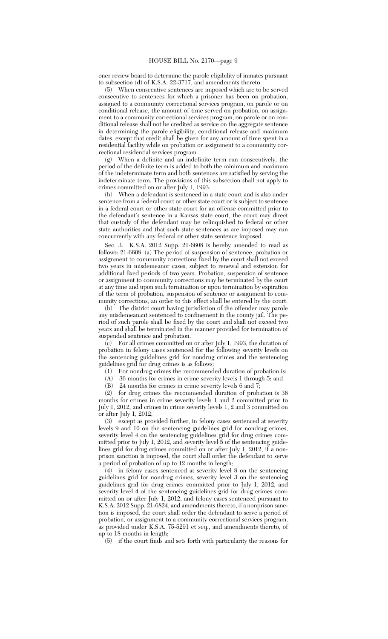oner review board to determine the parole eligibility of inmates pursuant

to subsection (d) of K.S.A. 22-3717, and amendments thereto.<br>
(5) When consecutive sentences are imposed which are to When consecutive sentences are imposed which are to be served consecutive to sentences for which a prisoner has been on probation, assigned to a community correctional services program, on parole or on conditional release, the amount of time served on probation, on assignment to a community correctional services program, on parole or on conditional release shall not be credited as service on the aggregate sentence in determining the parole eligibility, conditional release and maximum dates, except that credit shall be given for any amount of time spent in a residential facility while on probation or assignment to a community correctional residential services program.

(g) When a definite and an indefinite term run consecutively, the period of the definite term is added to both the minimum and maximum of the indeterminate term and both sentences are satisfied by serving the indeterminate term. The provisions of this subsection shall not apply to crimes committed on or after July 1, 1993.

(h) When a defendant is sentenced in a state court and is also under sentence from a federal court or other state court or is subject to sentence in a federal court or other state court for an offense committed prior to the defendant's sentence in a Kansas state court, the court may direct that custody of the defendant may be relinquished to federal or other state authorities and that such state sentences as are imposed may run concurrently with any federal or other state sentence imposed.

Sec. 3. K.S.A. 2012 Supp. 21-6608 is hereby amended to read as follows: 21-6608. (a) The period of suspension of sentence, probation or assignment to community corrections fixed by the court shall not exceed two years in misdemeanor cases, subject to renewal and extension for additional fixed periods of two years. Probation, suspension of sentence or assignment to community corrections may be terminated by the court at any time and upon such termination or upon termination by expiration of the term of probation, suspension of sentence or assignment to community corrections, an order to this effect shall be entered by the court.

(b) The district court having jurisdiction of the offender may parole any misdemeanant sentenced to confinement in the county jail. The period of such parole shall be fixed by the court and shall not exceed two years and shall be terminated in the manner provided for termination of suspended sentence and probation.

(c) For all crimes committed on or after July 1, 1993, the duration of probation in felony cases sentenced for the following severity levels on the sentencing guidelines grid for nondrug crimes and the sentencing guidelines grid for drug crimes is as follows:

(1) For nondrug crimes the recommended duration of probation is:

(A) 36 months for crimes in crime severity levels 1 through 5; and

(B) 24 months for crimes in crime severity levels 6 and 7;

(2) for drug crimes the recommended duration of probation is 36 months for crimes in crime severity levels 1 and 2 committed prior to July 1, 2012, and crimes in crime severity levels 1, 2 and 3 committed on or after July 1, 2012;

(3) except as provided further, in felony cases sentenced at severity levels 9 and 10 on the sentencing guidelines grid for nondrug crimes, severity level 4 on the sentencing guidelines grid for drug crimes committed prior to July 1, 2012, and severity level 5 of the sentencing guidelines grid for drug crimes committed on or after July 1, 2012, if a nonprison sanction is imposed, the court shall order the defendant to serve a period of probation of up to 12 months in length;

(4) in felony cases sentenced at severity level 8 on the sentencing guidelines grid for nondrug crimes, severity level 3 on the sentencing guidelines grid for drug crimes committed prior to July 1, 2012, and severity level 4 of the sentencing guidelines grid for drug crimes committed on or after July 1, 2012, and felony cases sentenced pursuant to K.S.A. 2012 Supp. 21-6824, and amendments thereto, if a nonprison sanction is imposed, the court shall order the defendant to serve a period of probation, or assignment to a community correctional services program, as provided under K.S.A. 75-5291 et seq., and amendments thereto, of up to 18 months in length;

(5) if the court finds and sets forth with particularity the reasons for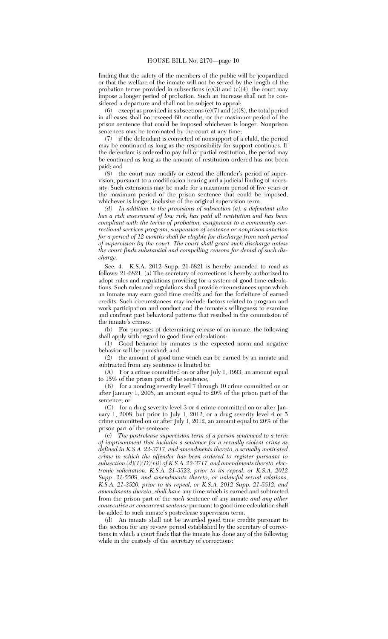finding that the safety of the members of the public will be jeopardized or that the welfare of the inmate will not be served by the length of the probation terms provided in subsections (c)(3) and (c)(4), the court may impose a longer period of probation. Such an increase shall not be considered a departure and shall not be subject to appeal;

(6) except as provided in subsections  $(c)(7)$  and  $(c)(8)$ , the total period in all cases shall not exceed 60 months, or the maximum period of the prison sentence that could be imposed whichever is longer. Nonprison sentences may be terminated by the court at any time;

(7) if the defendant is convicted of nonsupport of a child, the period may be continued as long as the responsibility for support continues. If the defendant is ordered to pay full or partial restitution, the period may be continued as long as the amount of restitution ordered has not been paid; and

(8) the court may modify or extend the offender's period of supervision, pursuant to a modification hearing and a judicial finding of necessity. Such extensions may be made for a maximum period of five years or the maximum period of the prison sentence that could be imposed, whichever is longer, inclusive of the original supervision term.

*(d) In addition to the provisions of subsection (a), a defendant who has a risk assessment of low risk, has paid all restitution and has been compliant with the terms of probation, assignment to a community correctional services program, suspension of sentence or nonprison sanction for a period of 12 months shall be eligible for discharge from such period of supervision by the court. The court shall grant such discharge unless the court finds substantial and compelling reasons for denial of such discharge.*

Sec. 4. K.S.A. 2012 Supp. 21-6821 is hereby amended to read as follows: 21-6821. (a) The secretary of corrections is hereby authorized to adopt rules and regulations providing for a system of good time calculations. Such rules and regulations shall provide circumstances upon which an inmate may earn good time credits and for the forfeiture of earned credits. Such circumstances may include factors related to program and work participation and conduct and the inmate's willingness to examine and confront past behavioral patterns that resulted in the commission of the inmate's crimes.

(b) For purposes of determining release of an inmate, the following shall apply with regard to good time calculations:

(1) Good behavior by inmates is the expected norm and negative behavior will be punished; and

(2) the amount of good time which can be earned by an inmate and subtracted from any sentence is limited to:

(A) For a crime committed on or after July 1, 1993, an amount equal to 15% of the prison part of the sentence;

(B) for a nondrug severity level 7 through 10 crime committed on or after January 1, 2008, an amount equal to 20% of the prison part of the sentence; or

(C) for a drug severity level 3 or 4 crime committed on or after January 1, 2008, but prior to July 1, 2012, or a drug severity level 4 or 5 crime committed on or after July 1, 2012, an amount equal to 20% of the prison part of the sentence.

(c) *The postrelease supervision term of a person sentenced to a term of imprisonment that includes a sentence for a sexually violent crime as defined in K.S.A. 22-3717, and amendments thereto, a sexually motivated crime in which the offender has been ordered to register pursuant to subsection (d)(1)(D)(vii) of K.S.A. 22-3717, and amendments thereto, electronic solicitation, K.S.A. 21-3523, prior to its repeal, or K.S.A. 2012 Supp. 21-5509, and amendments thereto, or unlawful sexual relations, K.S.A. 21-3520, prior to its repeal, or K.S.A. 2012 Supp. 21-5512, and amendments thereto, shall have* any time which is earned and subtracted from the prison part of the *such* sentence of any inmate *and any other consecutive or concurrent sentence* pursuant to good time calculation shall be added to such inmate's postrelease supervision term.

(d) An inmate shall not be awarded good time credits pursuant to this section for any review period established by the secretary of corrections in which a court finds that the inmate has done any of the following while in the custody of the secretary of corrections: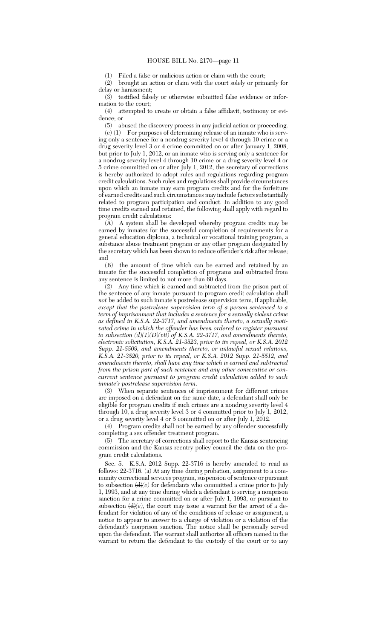(1) Filed a false or malicious action or claim with the court;

(2) brought an action or claim with the court solely or primarily for delay or harassment;

(3) testified falsely or otherwise submitted false evidence or information to the court;

(4) attempted to create or obtain a false affidavit, testimony or evidence; or

(5) abused the discovery process in any judicial action or proceeding. (e) (1) For purposes of determining release of an inmate who is serv-

ing only a sentence for a nondrug severity level 4 through 10 crime or a drug severity level 3 or 4 crime committed on or after January 1, 2008, but prior to July 1, 2012, or an inmate who is serving only a sentence for a nondrug severity level 4 through 10 crime or a drug severity level 4 or 5 crime committed on or after July 1, 2012, the secretary of corrections is hereby authorized to adopt rules and regulations regarding program credit calculations. Such rules and regulations shall provide circumstances upon which an inmate may earn program credits and for the forfeiture of earned credits and such circumstances may include factors substantially related to program participation and conduct. In addition to any good time credits earned and retained, the following shall apply with regard to program credit calculations:

(A) A system shall be developed whereby program credits may be earned by inmates for the successful completion of requirements for a general education diploma, a technical or vocational training program, a substance abuse treatment program or any other program designated by the secretary which has been shown to reduce offender's risk after release; and

(B) the amount of time which can be earned and retained by an inmate for the successful completion of programs and subtracted from any sentence is limited to not more than 60 days.

(2) Any time which is earned and subtracted from the prison part of the sentence of any inmate pursuant to program credit calculation shall *not* be added to such inmate's postrelease supervision term, if applicable*, except that the postrelease supervision term of a person sentenced to a term of imprisonment that includes a sentence for a sexually violent crime as defined in K.S.A. 22-3717, and amendments thereto, a sexually motivated crime in which the offender has been ordered to register pursuant to subsection (d)(1)(D)(vii) of K.S.A. 22-3717, and amendments thereto, electronic solicitation, K.S.A. 21-3523, prior to its repeal, or K.S.A. 2012 Supp. 21-5509, and amendments thereto, or unlawful sexual relations, K.S.A. 21-3520, prior to its repeal, or K.S.A. 2012 Supp. 21-5512, and amendments thereto, shall have any time which is earned and subtracted from the prison part of such sentence and any other consecutive or concurrent sentence pursuant to program credit calculation added to such inmate's postrelease supervision term*.

(3) When separate sentences of imprisonment for different crimes are imposed on a defendant on the same date, a defendant shall only be eligible for program credits if such crimes are a nondrug severity level 4 through 10, a drug severity level 3 or 4 committed prior to July 1, 2012, or a drug severity level 4 or 5 committed on or after July 1, 2012.

(4) Program credits shall not be earned by any offender successfully completing a sex offender treatment program.

(5) The secretary of corrections shall report to the Kansas sentencing commission and the Kansas reentry policy council the data on the program credit calculations.

Sec. 5. K.S.A. 2012 Supp. 22-3716 is hereby amended to read as follows: 22-3716. (a) At any time during probation, assignment to a community correctional services program, suspension of sentence or pursuant to subsection  $(d)(e)$  for defendants who committed a crime prior to July 1, 1993, and at any time during which a defendant is serving a nonprison sanction for a crime committed on or after July 1, 1993, or pursuant to subsection  $\left(\frac{d}{e}\right)$ , the court may issue a warrant for the arrest of a defendant for violation of any of the conditions of release or assignment, a notice to appear to answer to a charge of violation or a violation of the defendant's nonprison sanction. The notice shall be personally served upon the defendant. The warrant shall authorize all officers named in the warrant to return the defendant to the custody of the court or to any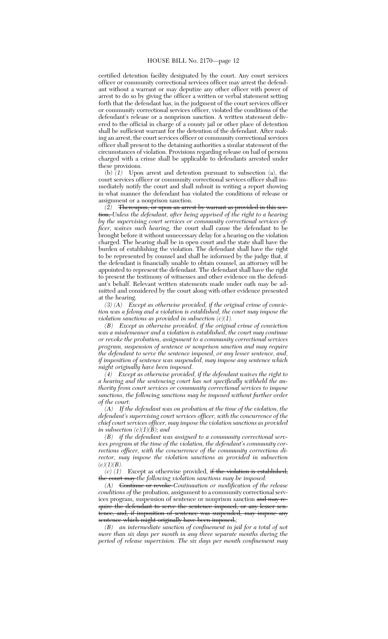certified detention facility designated by the court. Any court services officer or community correctional services officer may arrest the defendant without a warrant or may deputize any other officer with power of arrest to do so by giving the officer a written or verbal statement setting forth that the defendant has, in the judgment of the court services officer or community correctional services officer, violated the conditions of the defendant's release or a nonprison sanction. A written statement delivered to the official in charge of a county jail or other place of detention shall be sufficient warrant for the detention of the defendant. After making an arrest, the court services officer or community correctional services officer shall present to the detaining authorities a similar statement of the circumstances of violation. Provisions regarding release on bail of persons charged with a crime shall be applicable to defendants arrested under these provisions.

(b) *(1)* Upon arrest and detention pursuant to subsection (a), the court services officer or community correctional services officer shall immediately notify the court and shall submit in writing a report showing in what manner the defendant has violated the conditions of release or assignment or a nonprison sanction.

*(2)* Thereupon, or upon an arrest by warrant as provided in this section, *Unless the defendant, after being apprised of the right to a hearing by the supervising court services or community correctional services officer, waives such hearing,* the court shall cause the defendant to be brought before it without unnecessary delay for a hearing on the violation charged. The hearing shall be in open court and the state shall have the burden of establishing the violation. The defendant shall have the right to be represented by counsel and shall be informed by the judge that, if the defendant is financially unable to obtain counsel, an attorney will be appointed to represent the defendant. The defendant shall have the right to present the testimony of witnesses and other evidence on the defendant's behalf. Relevant written statements made under oath may be admitted and considered by the court along with other evidence presented at the hearing.

*(3) (A) Except as otherwise provided, if the original crime of conviction was a felony and a violation is established, the court may impose the violation sanctions as provided in subsection (c)(1).*

*(B) Except as otherwise provided, if the original crime of conviction was a misdemeanor and a violation is established, the court may continue or revoke the probation, assignment to a community correctional services program, suspension of sentence or nonprison sanction and may require the defendant to serve the sentence imposed, or any lesser sentence, and, if imposition of sentence was suspended, may impose any sentence which might originally have been imposed.*

*(4) Except as otherwise provided, if the defendant waives the right to a hearing and the sentencing court has not specifically withheld the authority from court services or community correctional services to impose sanctions, the following sanctions may be imposed without further order of the court:*

*(A) If the defendant was on probation at the time of the violation, the defendant's supervising court services officer, with the concurrence of the chief court services officer, may impose the violation sanctions as provided in subsection (c)(1)(B); and*

*(B) if the defendant was assigned to a community correctional services program at the time of the violation, the defendant's community corrections officer, with the concurrence of the community corrections director, may impose the violation sanctions as provided in subsection*  $(c)(1)(B).$ 

 $(c)$  (1) Except as otherwise provided, if the violation is established, the court may *the following violation sanctions may be imposed:*

*(A)* Continue or revoke *Continuation or modification of the release conditions of* the probation, assignment to a community correctional services program, suspension of sentence or nonprison sanction and may require the defendant to serve the sentence imposed, or any lesser sentence, and, if imposition of sentence was suspended, may impose any sentence which might originally have been imposed.;

*(B) an intermediate sanction of confinement in jail for a total of not more than six days per month in any three separate months during the period of release supervision. The six days per month confinement may*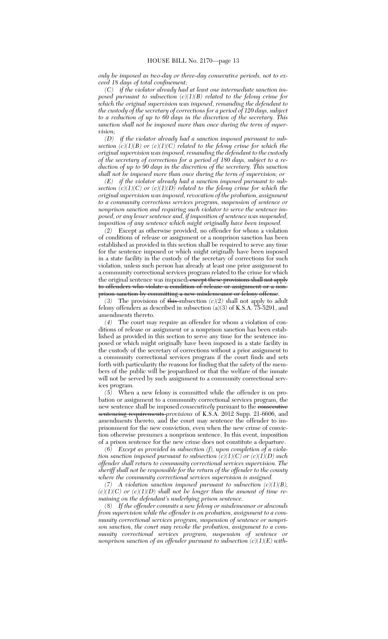*only be imposed as two-day or three-day consecutive periods, not to exceed 18 days of total confinement;*

*(C) if the violator already had at least one intermediate sanction imposed pursuant to subsection (c)(1)(B) related to the felony crime for which the original supervision was imposed, remanding the defendant to the custody of the secretary of corrections for a period of 120 days, subject to a reduction of up to 60 days in the discretion of the secretary. This sanction shall not be imposed more than once during the term of supervision;*<br>*(D)* 

*if the violator already had a sanction imposed pursuant to subsection (c)(1)(B) or (c)(1)(C) related to the felony crime for which the original supervision was imposed, remanding the defendant to the custody of the secretary of corrections for a period of 180 days, subject to a reduction of up to 90 days in the discretion of the secretary. This sanction shall not be imposed more than once during the term of supervision; or*

*(E) if the violator already had a sanction imposed pursuant to subsection (c)(1)(C) or (c)(1)(D) related to the felony crime for which the original supervision was imposed, revocation of the probation, assignment to a community corrections services program, suspension of sentence or nonprison sanction and requiring such violator to serve the sentence imposed, or any lesser sentence and, if imposition of sentence was suspended, imposition of any sentence which might originally have been imposed.*

*(2)* Except as otherwise provided, no offender for whom a violation of conditions of release or assignment or a nonprison sanction has been established as provided in this section shall be required to serve any time for the sentence imposed or which might originally have been imposed in a state facility in the custody of the secretary of corrections for such violation, unless such person has already at least one prior assignment to a community correctional services program related to the crime for which the original sentence was imposed<del>, except these provisions shall not apply</del> to offenders who violate a condition of release or assignment or a nonprison sanction by committing a new misdemeanor or felony offense.

*(3)* The provisions of this subsection *(c)(2)* shall not apply to adult felony offenders as described in subsection (a)(3) of K.S.A. 75-5291, and amendments thereto.

*(4)* The court may require an offender for whom a violation of conditions of release or assignment or a nonprison sanction has been established as provided in this section to serve any time for the sentence imposed or which might originally have been imposed in a state facility in the custody of the secretary of corrections without a prior assignment to a community correctional services program if the court finds and sets forth with particularity the reasons for finding that the safety of the members of the public will be jeopardized or that the welfare of the inmate will not be served by such assignment to a community correctional services program.

*(5)* When a new felony is committed while the offender is on probation or assignment to a community correctional services program, the new sentence shall be imposed *consecutively* pursuant to the **consecutive** sentencing requirements *provisions* of K.S.A. 2012 Supp. 21-6606, and amendments thereto, and the court may sentence the offender to imprisonment for the new conviction, even when the new crime of conviction otherwise presumes a nonprison sentence. In this event, imposition of a prison sentence for the new crime does not constitute a departure.

*(6) Except as provided in subsection (f), upon completion of a violation sanction imposed pursuant to subsection (c)(1)(C) or (c)(1)(D) such offender shall return to community correctional services supervision. The sheriff shall not be responsible for the return of the offender to the county where the community correctional services supervision is assigned.*

*(7) A violation sanction imposed pursuant to subsection (c)(1)(B),*  $(c)(1)(C)$  or  $(c)(1)(D)$  shall not be longer than the amount of time re*maining on the defendant's underlying prison sentence.*

*(8) If the offender commits a new felony or misdemeanor or absconds from supervision while the offender is on probation, assignment to a community correctional services program, suspension of sentence or nonprison sanction, the court may revoke the probation, assignment to a community correctional services program, suspension of sentence or nonprison sanction of an offender pursuant to subsection (c)(1)(E) with-*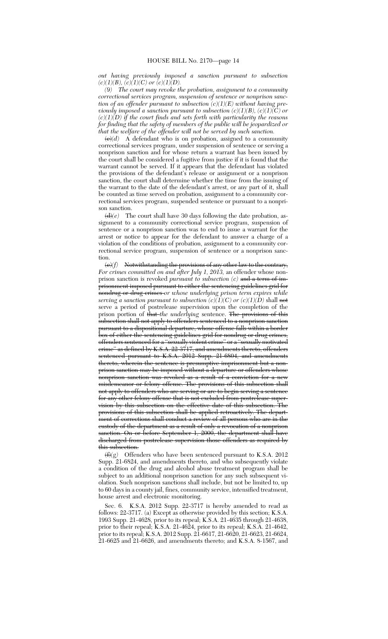*out having previously imposed a sanction pursuant to subsection*  $(c)(1)(B), (c)(1)(C)$  or  $(c)(1)(D)$ .

*(9) The court may revoke the probation, assignment to a community correctional services program, suspension of sentence or nonprison sanction of an offender pursuant to subsection (c)(1)(E) without having previously imposed a sanction pursuant to subsection*  $(c)(1)(B)$ *,*  $(c)(1)(C)$  *or*  $(c)(1)(D)$  if the court finds and sets forth with particularity the reasons *for finding that the safety of members of the public will be jeopardized or that the welfare of the offender will not be served by such sanction.*

 $\left(\frac{e}{d}\right)$  A defendant who is on probation, assigned to a community correctional services program, under suspension of sentence or serving a nonprison sanction and for whose return a warrant has been issued by the court shall be considered a fugitive from justice if it is found that the warrant cannot be served. If it appears that the defendant has violated the provisions of the defendant's release or assignment or a nonprison sanction, the court shall determine whether the time from the issuing of the warrant to the date of the defendant's arrest, or any part of it, shall be counted as time served on probation, assignment to a community correctional services program, suspended sentence or pursuant to a nonprison sanction.

 $\left(\frac{d}{e}\right)^{e}$  The court shall have 30 days following the date probation, assignment to a community correctional service program, suspension of sentence or a nonprison sanction was to end to issue a warrant for the arrest or notice to appear for the defendant to answer a charge of a violation of the conditions of probation, assignment to a community correctional service program, suspension of sentence or a nonprison sanction.

(e)*(f)* Notwithstanding the provisions of any other law to the contrary, *For crimes committed on and after July 1, 2013,* an offender whose nonprison sanction is revoked *pursuant to subsection (c)* and a term of imprisonment imposed pursuant to either the sentencing guidelines grid for nondrug or drug crimes *or whose underlying prison term expires while serving a sanction pursuant to subsection*  $(c)(1)(C)$  *or*  $(c)(1)(D)$  *shall not* serve a period of postrelease supervision upon the completion of the prison portion of that *the underlying* sentence. The provisions of this subsection shall not apply to offenders sentenced to a nonprison sanction pursuant to a dispositional departure, whose offense falls within a border box of either the sentencing guidelines grid for nondrug or drug erimes, offenders sentenced for a ''sexually violent crime'' or a ''sexually motivated erime" as defined by K.S.A. 22-3717, and amendments thereto, offenders sentenced pursuant to K.S.A. 2012 Supp. 21-6804, and amendments thereto, wherein the sentence is presumptive imprisonment but a nonprison sanction may be imposed without a departure or offenders whose nonprison sanction was revoked as a result of a conviction for a new misdemeanor or felony offense. The provisions of this subsection shall not apply to offenders who are serving or are to begin serving a sentence for any other felony offense that is not excluded from postrelease supervision by this subsection on the effective date of this subsection. The provisions of this subsection shall be applied retroactively. The department of corrections shall conduct a review of all persons who are in the custody of the department as a result of only a revocation of a nonprison sanction. On or before September 1, 2000, the department shall have discharged from postrelease supervision those offenders as required by this subsection.

(f)*(g)* Offenders who have been sentenced pursuant to K.S.A. 2012 Supp. 21-6824, and amendments thereto, and who subsequently violate a condition of the drug and alcohol abuse treatment program shall be subject to an additional nonprison sanction for any such subsequent violation. Such nonprison sanctions shall include, but not be limited to, up to 60 days in a county jail, fines, community service, intensified treatment, house arrest and electronic monitoring.

Sec. 6. K.S.A. 2012 Supp. 22-3717 is hereby amended to read as follows: 22-3717. (a) Except as otherwise provided by this section; K.S.A. 1993 Supp. 21-4628, prior to its repeal; K.S.A. 21-4635 through 21-4638, prior to their repeal; K.S.A. 21-4624, prior to its repeal; K.S.A. 21-4642, prior to its repeal; K.S.A. 2012 Supp. 21-6617, 21-6620, 21-6623, 21-6624, 21-6625 and 21-6626, and amendments thereto; and K.S.A. 8-1567, and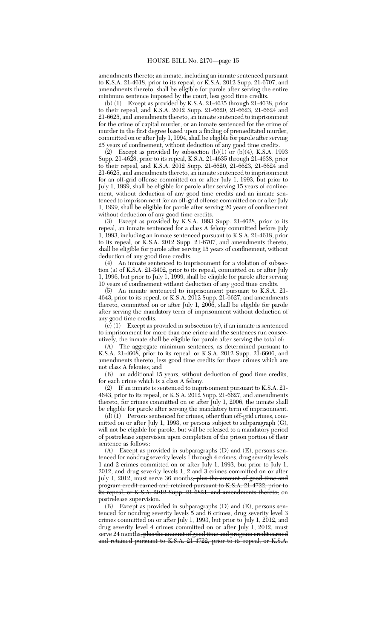amendments thereto; an inmate, including an inmate sentenced pursuant to K.S.A. 21-4618, prior to its repeal, or K.S.A. 2012 Supp. 21-6707, and amendments thereto, shall be eligible for parole after serving the entire minimum sentence imposed by the court, less good time credits.

(b) (1) Except as provided by K.S.A. 21-4635 through 21-4638, prior to their repeal, and K.S.A. 2012 Supp. 21-6620, 21-6623, 21-6624 and 21-6625, and amendments thereto, an inmate sentenced to imprisonment for the crime of capital murder, or an inmate sentenced for the crime of murder in the first degree based upon a finding of premeditated murder, committed on or after July 1, 1994, shall be eligible for parole after serving 25 years of confinement, without deduction of any good time credits.

(2) Except as provided by subsection  $(b)(1)$  or  $(b)(4)$ , K.S.A. 1993 Supp. 21-4628, prior to its repeal, K.S.A. 21-4635 through 21-4638, prior to their repeal, and K.S.A. 2012 Supp. 21-6620, 21-6623, 21-6624 and 21-6625, and amendments thereto, an inmate sentenced to imprisonment for an off-grid offense committed on or after July 1, 1993, but prior to July 1, 1999, shall be eligible for parole after serving 15 years of confinement, without deduction of any good time credits and an inmate sentenced to imprisonment for an off-grid offense committed on or after July 1, 1999, shall be eligible for parole after serving 20 years of confinement without deduction of any good time credits.

(3) Except as provided by K.S.A. 1993 Supp. 21-4628, prior to its repeal, an inmate sentenced for a class A felony committed before July 1, 1993, including an inmate sentenced pursuant to K.S.A. 21-4618, prior to its repeal, or K.S.A. 2012 Supp. 21-6707, and amendments thereto, shall be eligible for parole after serving 15 years of confinement, without deduction of any good time credits.

(4) An inmate sentenced to imprisonment for a violation of subsection (a) of K.S.A. 21-3402, prior to its repeal, committed on or after July 1, 1996, but prior to July 1, 1999, shall be eligible for parole after serving 10 years of confinement without deduction of any good time credits.

(5) An inmate sentenced to imprisonment pursuant to K.S.A. 21- 4643, prior to its repeal, or K.S.A. 2012 Supp. 21-6627, and amendments thereto, committed on or after July 1, 2006, shall be eligible for parole after serving the mandatory term of imprisonment without deduction of any good time credits.

 $\widetilde{c}(c)$  (1) Except as provided in subsection (e), if an inmate is sentenced to imprisonment for more than one crime and the sentences run consecutively, the inmate shall be eligible for parole after serving the total of:

(A) The aggregate minimum sentences, as determined pursuant to K.S.A. 21-4608, prior to its repeal, or K.S.A. 2012 Supp. 21-6606, and amendments thereto, less good time credits for those crimes which are not class A felonies; and

(B) an additional 15 years, without deduction of good time credits, for each crime which is a class A felony.

(2) If an inmate is sentenced to imprisonment pursuant to K.S.A. 21- 4643, prior to its repeal, or K.S.A. 2012 Supp. 21-6627, and amendments thereto, for crimes committed on or after July 1, 2006, the inmate shall be eligible for parole after serving the mandatory term of imprisonment.

 $(d)$  (1) Persons sentenced for crimes, other than off-grid crimes, committed on or after July 1, 1993, or persons subject to subparagraph (G), will not be eligible for parole, but will be released to a mandatory period of postrelease supervision upon completion of the prison portion of their sentence as follows:

(A) Except as provided in subparagraphs (D) and (E), persons sentenced for nondrug severity levels 1 through 4 crimes, drug severity levels 1 and 2 crimes committed on or after July 1, 1993, but prior to July 1, 2012, and drug severity levels 1, 2 and 3 crimes committed on or after July 1, 2012, must serve 36 months<del>, plus the amount of good time and</del> program credit earned and retained pursuant to K.S.A. 21-4722, prior to its repeal, or K.S.A. 2012 Supp. 21-6821, and amendments thereto, on postrelease supervision.

Except as provided in subparagraphs  $(D)$  and  $(E)$ , persons sentenced for nondrug severity levels 5 and 6 crimes, drug severity level 3 crimes committed on or after July 1, 1993, but prior to July 1, 2012, and drug severity level 4 crimes committed on or after July 1, 2012, must serve 24 months, plus the amount of good time and program credit earned and retained pursuant to K.S.A. 21-4722, prior to its repeal, or K.S.A.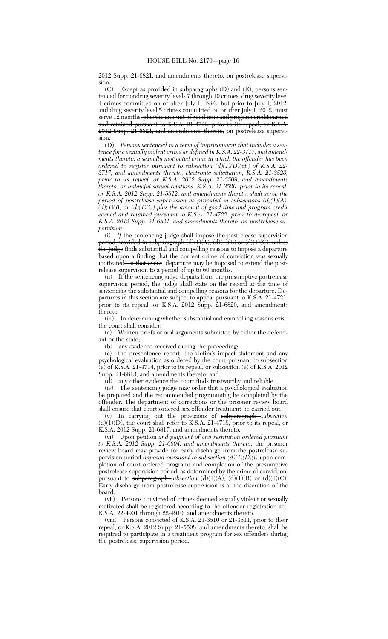2012 Supp. 21-6821, and amendments thereto, on postrelease supervision.<br> $(C)$ 

Except as provided in subparagraphs  $(D)$  and  $(E)$ , persons sentenced for nondrug severity levels 7 through 10 crimes, drug severity level 4 crimes committed on or after July 1, 1993, but prior to July 1, 2012, and drug severity level 5 crimes committed on or after July 1, 2012, must serve 12 months<del>, plus the amount of good time and program credit earned</del> and retained pursuant to K.S.A. 21-4722, prior to its repeal, or K.S.A. 2012 Supp. 21-6821, and amendments thereto, on postrelease supervision.

(D) *Persons sentenced to a term of imprisonment that includes a sentence for a sexually violent crime as defined in K.S.A. 22-3717, and amendments thereto, a sexually motivated crime in which the offender has been ordered to register pursuant to subsection (d)(1)(D)(vii) of K.S.A. 22- 3717, and amendments thereto, electronic solicitation, K.S.A. 21-3523, prior to its repeal, or K.S.A. 2012 Supp. 21-5509, and amendments thereto, or unlawful sexual relations, K.S.A. 21-3520, prior to its repeal, or K.S.A. 2012 Supp. 21-5512, and amendments thereto, shall serve the period of postrelease supervision as provided in subsections (d)(1)(A), (d)(1)(B) or (d)(1)(C) plus the amount of good time and program credit earned and retained pursuant to K.S.A. 21-4722, prior to its repeal, or K.S.A. 2012 Supp. 21-6821, and amendments thereto, on postrelease supervision.*

(i) *If* the sentencing judge shall impose the postrelease supervision period provided in subparagraph (d)(1)(A), (d)(1)(B) or (d)(1)(C), unless <del>the judge</del> finds substantial and compelling reasons to impose a departure based upon a finding that the current crime of conviction was sexually motivated. In that event, departure may be imposed to extend the postrelease supervision to a period of up to 60 months.

(ii) If the sentencing judge departs from the presumptive postrelease supervision period, the judge shall state on the record at the time of sentencing the substantial and compelling reasons for the departure. Departures in this section are subject to appeal pursuant to K.S.A. 21-4721, prior to its repeal, or K.S.A. 2012 Supp. 21-6820, and amendments thereto.

(iii) In determining whether substantial and compelling reasons exist, the court shall consider:

(a) Written briefs or oral arguments submitted by either the defendant or the state;

(b) any evidence received during the proceeding;

(c) the presentence report, the victim's impact statement and any psychological evaluation as ordered by the court pursuant to subsection  $\overline{e}$ ) of K.S.A. 21-4714, prior to its repeal, or subsection  $\overline{e}$ ) of K.S.A. 2012 Supp. 21-6813, and amendments thereto; and

 $\overline{d}$  any other evidence the court finds trustworthy and reliable.

(iv) The sentencing judge may order that a psychological evaluation be prepared and the recommended programming be completed by the offender. The department of corrections or the prisoner review board shall ensure that court ordered sex offender treatment be carried out.

(v) In carrying out the provisions of subparagraph *subsection*  $(d)(1)(D)$ , the court shall refer to K.S.A. 21-4718, prior to its repeal, or K.S.A. 2012 Supp. 21-6817, and amendments thereto.

(vi) Upon petition *and payment of any restitution ordered pursuant to K.S.A. 2012 Supp. 21-6604, and amendments thereto*, the prisoner review board may provide for early discharge from the postrelease supervision period *imposed pursuant to subsection (d)(1)(D)(i)* upon completion of court ordered programs and completion of the presumptive postrelease supervision period, as determined by the crime of conviction, pursuant to subparagraph *subsection*  $(d)(1)(A)$ ,  $(d)(1)(B)$  or  $(d)(1)(C)$ . Early discharge from postrelease supervision is at the discretion of the board.

(vii) Persons convicted of crimes deemed sexually violent or sexually motivated shall be registered according to the offender registration act, K.S.A. 22-4901 through 22-4910, and amendments thereto.

(viii) Persons convicted of K.S.A. 21-3510 or 21-3511, prior to their repeal, or K.S.A. 2012 Supp. 21-5508, and amendments thereto, shall be required to participate in a treatment program for sex offenders during the postrelease supervision period.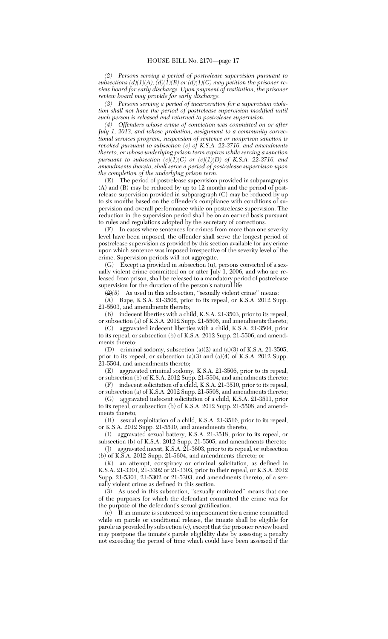*(2) Persons serving a period of postrelease supervision pursuant to subsections (d)(1)(A), (d)(1)(B) or (d)(1)(C) may petition the prisoner review board for early discharge. Upon payment of restitution, the prisoner review board may provide for early discharge.*

*(3) Persons serving a period of incarceration for a supervision violation shall not have the period of postrelease supervision modified until such person is released and returned to postrelease supervision.*

*(4) Offenders whose crime of conviction was committed on or after July 1, 2013, and whose probation, assignment to a community correctional services program, suspension of sentence or nonprison sanction is revoked pursuant to subsection (c) of K.S.A. 22-3716, and amendments thereto, or whose underlying prison term expires while serving a sanction pursuant to subsection*  $(c)(1)(C)$  *or*  $(c)(1)(D)$  *of K.S.A. 22-3716, and amendments thereto, shall serve a period of postrelease supervision upon the completion of the underlying prison term.*

(E) The period of postrelease supervision provided in subparagraphs (A) and (B) may be reduced by up to 12 months and the period of postrelease supervision provided in subparagraph (C) may be reduced by up to six months based on the offender's compliance with conditions of supervision and overall performance while on postrelease supervision. The reduction in the supervision period shall be on an earned basis pursuant to rules and regulations adopted by the secretary of corrections.

(F) In cases where sentences for crimes from more than one severity level have been imposed, the offender shall serve the longest period of postrelease supervision as provided by this section available for any crime upon which sentence was imposed irrespective of the severity level of the crime. Supervision periods will not aggregate.

(G) Except as provided in subsection (u), persons convicted of a sexually violent crime committed on or after July 1, 2006, and who are released from prison, shall be released to a mandatory period of postrelease supervision for the duration of the person's natural life.

 $\sqrt{(2)}$  As used in this subsection, "sexually violent crime" means:

(A) Rape, K.S.A. 21-3502, prior to its repeal, or K.S.A. 2012 Supp. 21-5503, and amendments thereto;

(B) indecent liberties with a child, K.S.A. 21-3503, prior to its repeal, or subsection (a) of K.S.A. 2012 Supp. 21-5506, and amendments thereto; (C) aggravated indecent liberties with a child, K.S.A. 21-3504, prior

to its repeal, or subsection (b) of K.S.A. 2012 Supp. 21-5506, and amendments thereto;

(D) criminal sodomy, subsection (a)(2) and (a)(3) of K.S.A. 21-3505, prior to its repeal, or subsection (a)(3) and (a)(4) of K.S.A. 2012 Supp. 21-5504, and amendments thereto;

(E) aggravated criminal sodomy, K.S.A. 21-3506, prior to its repeal, or subsection (b) of K.S.A. 2012 Supp. 21-5504, and amendments thereto; (F) indecent solicitation of a child, K.S.A. 21-3510, prior to its repeal,

or subsection (a) of K.S.A. 2012 Supp. 21-5508, and amendments thereto; (G) aggravated indecent solicitation of a child, K.S.A. 21-3511, prior

to its repeal, or subsection (b) of K.S.A. 2012 Supp. 21-5508, and amendments thereto;

(H) sexual exploitation of a child, K.S.A. 21-3516, prior to its repeal, or K.S.A. 2012 Supp. 21-5510, and amendments thereto;

(I) aggravated sexual battery, K.S.A. 21-3518, prior to its repeal, or subsection (b) of K.S.A. 2012 Supp. 21-5505, and amendments thereto;

(J) aggravated incest, K.S.A. 21-3603, prior to its repeal, or subsection (b) of K.S.A. 2012 Supp. 21-5604, and amendments thereto; or

(K) an attempt, conspiracy or criminal solicitation, as defined in K.S.A. 21-3301, 21-3302 or 21-3303, prior to their repeal, or K.S.A. 2012 Supp. 21-5301, 21-5302 or 21-5303, and amendments thereto, of a sexually violent crime as defined in this section.

(3) As used in this subsection, ''sexually motivated'' means that one of the purposes for which the defendant committed the crime was for the purpose of the defendant's sexual gratification.

(e) If an inmate is sentenced to imprisonment for a crime committed while on parole or conditional release, the inmate shall be eligible for parole as provided by subsection (c), except that the prisoner review board may postpone the inmate's parole eligibility date by assessing a penalty not exceeding the period of time which could have been assessed if the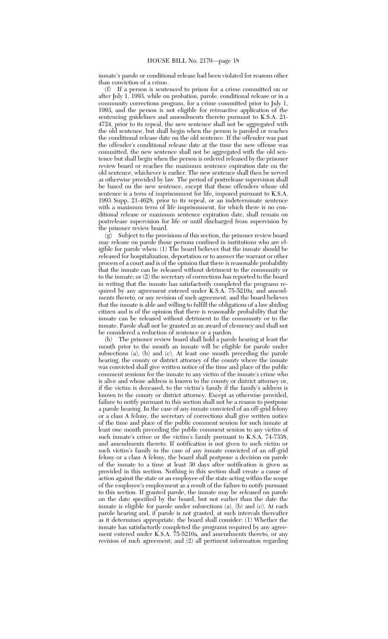inmate's parole or conditional release had been violated for reasons other than conviction of a crime.

(f) If a person is sentenced to prison for a crime committed on or after July 1, 1993, while on probation, parole, conditional release or in a community corrections program, for a crime committed prior to July 1, 1993, and the person is not eligible for retroactive application of the sentencing guidelines and amendments thereto pursuant to K.S.A. 21- 4724, prior to its repeal, the new sentence shall not be aggregated with the old sentence, but shall begin when the person is paroled or reaches the conditional release date on the old sentence. If the offender was past the offender's conditional release date at the time the new offense was committed, the new sentence shall not be aggregated with the old sentence but shall begin when the person is ordered released by the prisoner review board or reaches the maximum sentence expiration date on the old sentence, whichever is earlier. The new sentence shall then be served as otherwise provided by law. The period of postrelease supervision shall be based on the new sentence, except that those offenders whose old sentence is a term of imprisonment for life, imposed pursuant to K.S.A. 1993 Supp. 21-4628, prior to its repeal, or an indeterminate sentence with a maximum term of life imprisonment, for which there is no conditional release or maximum sentence expiration date, shall remain on postrelease supervision for life or until discharged from supervision by the prisoner review board.

(g) Subject to the provisions of this section, the prisoner review board may release on parole those persons confined in institutions who are eligible for parole when: (1) The board believes that the inmate should be released for hospitalization, deportation or to answer the warrant or other process of a court and is of the opinion that there is reasonable probability that the inmate can be released without detriment to the community or to the inmate; or (2) the secretary of corrections has reported to the board in writing that the inmate has satisfactorily completed the programs required by any agreement entered under K.S.A. 75-5210a, and amendments thereto, or any revision of such agreement, and the board believes that the inmate is able and willing to fulfill the obligations of a law abiding citizen and is of the opinion that there is reasonable probability that the inmate can be released without detriment to the community or to the inmate. Parole shall not be granted as an award of clemency and shall not be considered a reduction of sentence or a pardon.

(h) The prisoner review board shall hold a parole hearing at least the month prior to the month an inmate will be eligible for parole under subsections (a), (b) and (c). At least one month preceding the parole hearing, the county or district attorney of the county where the inmate was convicted shall give written notice of the time and place of the public comment sessions for the inmate to any victim of the inmate's crime who is alive and whose address is known to the county or district attorney or, if the victim is deceased, to the victim's family if the family's address is known to the county or district attorney. Except as otherwise provided, failure to notify pursuant to this section shall not be a reason to postpone a parole hearing. In the case of any inmate convicted of an off-grid felony or a class A felony, the secretary of corrections shall give written notice of the time and place of the public comment session for such inmate at least one month preceding the public comment session to any victim of such inmate's crime or the victim's family pursuant to K.S.A. 74-7338, and amendments thereto. If notification is not given to such victim or such victim's family in the case of any inmate convicted of an off-grid felony or a class A felony, the board shall postpone a decision on parole of the inmate to a time at least 30 days after notification is given as provided in this section. Nothing in this section shall create a cause of action against the state or an employee of the state acting within the scope of the employee's employment as a result of the failure to notify pursuant to this section. If granted parole, the inmate may be released on parole on the date specified by the board, but not earlier than the date the inmate is eligible for parole under subsections (a), (b) and (c). At each parole hearing and, if parole is not granted, at such intervals thereafter as it determines appropriate, the board shall consider: (1) Whether the inmate has satisfactorily completed the programs required by any agreement entered under K.S.A. 75-5210a, and amendments thereto, or any revision of such agreement; and (2) all pertinent information regarding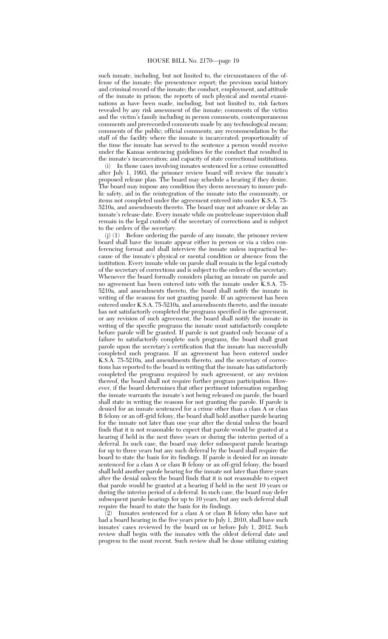such inmate, including, but not limited to, the circumstances of the offense of the inmate; the presentence report; the previous social history and criminal record of the inmate; the conduct, employment, and attitude of the inmate in prison; the reports of such physical and mental examinations as have been made, including, but not limited to, risk factors revealed by any risk assessment of the inmate; comments of the victim and the victim's family including in person comments, contemporaneous comments and prerecorded comments made by any technological means; comments of the public; official comments; any recommendation by the staff of the facility where the inmate is incarcerated; proportionality of the time the inmate has served to the sentence a person would receive under the Kansas sentencing guidelines for the conduct that resulted in the inmate's incarceration; and capacity of state correctional institutions.

In those cases involving inmates sentenced for a crime committed after July 1, 1993, the prisoner review board will review the inmate's proposed release plan. The board may schedule a hearing if they desire. The board may impose any condition they deem necessary to insure public safety, aid in the reintegration of the inmate into the community, or items not completed under the agreement entered into under K.S.A. 75- 5210a, and amendments thereto. The board may not advance or delay an inmate's release date. Every inmate while on postrelease supervision shall remain in the legal custody of the secretary of corrections and is subject

to the orders of the secretary.<br>(j) (1) Before ordering the Before ordering the parole of any inmate, the prisoner review board shall have the inmate appear either in person or via a video conferencing format and shall interview the inmate unless impractical because of the inmate's physical or mental condition or absence from the institution. Every inmate while on parole shall remain in the legal custody of the secretary of corrections and is subject to the orders of the secretary. Whenever the board formally considers placing an inmate on parole and no agreement has been entered into with the inmate under K.S.A. 75- 5210a, and amendments thereto, the board shall notify the inmate in writing of the reasons for not granting parole. If an agreement has been entered under K.S.A. 75-5210a, and amendments thereto, and the inmate has not satisfactorily completed the programs specified in the agreement, or any revision of such agreement, the board shall notify the inmate in writing of the specific programs the inmate must satisfactorily complete before parole will be granted. If parole is not granted only because of a failure to satisfactorily complete such programs, the board shall grant parole upon the secretary's certification that the inmate has successfully completed such programs. If an agreement has been entered under K.S.A. 75-5210a, and amendments thereto, and the secretary of corrections has reported to the board in writing that the inmate has satisfactorily completed the programs required by such agreement, or any revision thereof, the board shall not require further program participation. However, if the board determines that other pertinent information regarding the inmate warrants the inmate's not being released on parole, the board shall state in writing the reasons for not granting the parole. If parole is denied for an inmate sentenced for a crime other than a class A or class B felony or an off-grid felony, the board shall hold another parole hearing for the inmate not later than one year after the denial unless the board finds that it is not reasonable to expect that parole would be granted at a hearing if held in the next three years or during the interim period of a deferral. In such case, the board may defer subsequent parole hearings for up to three years but any such deferral by the board shall require the board to state the basis for its findings. If parole is denied for an inmate sentenced for a class A or class B felony or an off-grid felony, the board shall hold another parole hearing for the inmate not later than three years after the denial unless the board finds that it is not reasonable to expect that parole would be granted at a hearing if held in the next 10 years or during the interim period of a deferral. In such case, the board may defer subsequent parole hearings for up to 10 years, but any such deferral shall require the board to state the basis for its findings.

 $(2)$  Inmates sentenced for a class A or class B felony who have not had a board hearing in the five years prior to July 1, 2010, shall have such inmates' cases reviewed by the board on or before July 1, 2012. Such review shall begin with the inmates with the oldest deferral date and progress to the most recent. Such review shall be done utilizing existing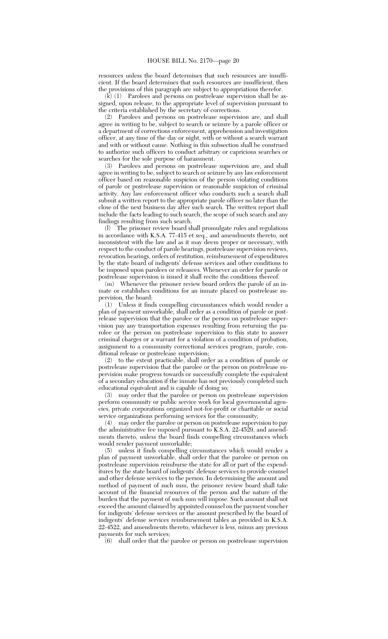resources unless the board determines that such resources are insufficient. If the board determines that such resources are insufficient, then the provisions of this paragraph are subject to appropriations therefor.

 $(k)$  (1) Parolees and persons on postrelease supervision shall be assigned, upon release, to the appropriate level of supervision pursuant to the criteria established by the secretary of corrections.

(2) Parolees and persons on postrelease supervision are, and shall agree in writing to be, subject to search or seizure by a parole officer or a department of corrections enforcement, apprehension and investigation officer, at any time of the day or night, with or without a search warrant and with or without cause. Nothing in this subsection shall be construed to authorize such officers to conduct arbitrary or capricious searches or searches for the sole purpose of harassment.

(3) Parolees and persons on postrelease supervision are, and shall agree in writing to be, subject to search or seizure by any law enforcement officer based on reasonable suspicion of the person violating conditions of parole or postrelease supervision or reasonable suspicion of criminal activity. Any law enforcement officer who conducts such a search shall submit a written report to the appropriate parole officer no later than the close of the next business day after such search. The written report shall include the facts leading to such search, the scope of such search and any findings resulting from such search.

(l) The prisoner review board shall promulgate rules and regulations in accordance with K.S.A. 77-415 et seq., and amendments thereto, not inconsistent with the law and as it may deem proper or necessary, with respect to the conduct of parole hearings, postrelease supervision reviews, revocation hearings, orders of restitution, reimbursement of expenditures by the state board of indigents' defense services and other conditions to be imposed upon parolees or releasees. Whenever an order for parole or postrelease supervision is issued it shall recite the conditions thereof.

(m) Whenever the prisoner review board orders the parole of an inmate or establishes conditions for an inmate placed on postrelease supervision, the board:

(1) Unless it finds compelling circumstances which would render a plan of payment unworkable, shall order as a condition of parole or postrelease supervision that the parolee or the person on postrelease supervision pay any transportation expenses resulting from returning the parolee or the person on postrelease supervision to this state to answer criminal charges or a warrant for a violation of a condition of probation, assignment to a community correctional services program, parole, conditional release or postrelease supervision;

(2) to the extent practicable, shall order as a condition of parole or postrelease supervision that the parolee or the person on postrelease supervision make progress towards or successfully complete the equivalent of a secondary education if the inmate has not previously completed such educational equivalent and is capable of doing so;

(3) may order that the parolee or person on postrelease supervision perform community or public service work for local governmental agencies, private corporations organized not-for-profit or charitable or social service organizations performing services for the community;

(4) may order the parolee or person on postrelease supervision to pay the administrative fee imposed pursuant to K.S.A. 22-4529, and amendments thereto, unless the board finds compelling circumstances which would render payment unworkable;

(5) unless it finds compelling circumstances which would render a plan of payment unworkable, shall order that the parolee or person on postrelease supervision reimburse the state for all or part of the expenditures by the state board of indigents' defense services to provide counsel and other defense services to the person. In determining the amount and method of payment of such sum, the prisoner review board shall take account of the financial resources of the person and the nature of the burden that the payment of such sum will impose. Such amount shall not exceed the amount claimed by appointed counsel on the payment voucher for indigents' defense services or the amount prescribed by the board of indigents' defense services reimbursement tables as provided in K.S.A. 22-4522, and amendments thereto, whichever is less, minus any previous payments for such services;

shall order that the parolee or person on postrelease supervision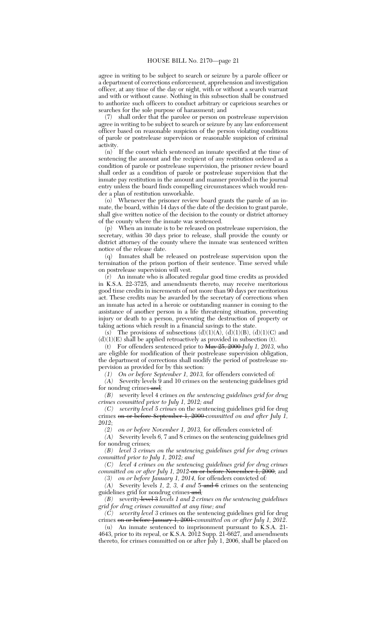agree in writing to be subject to search or seizure by a parole officer or a department of corrections enforcement, apprehension and investigation officer, at any time of the day or night, with or without a search warrant and with or without cause. Nothing in this subsection shall be construed to authorize such officers to conduct arbitrary or capricious searches or searches for the sole purpose of harassment; and

(7) shall order that the parolee or person on postrelease supervision agree in writing to be subject to search or seizure by any law enforcement officer based on reasonable suspicion of the person violating conditions of parole or postrelease supervision or reasonable suspicion of criminal activity.

(n) If the court which sentenced an inmate specified at the time of sentencing the amount and the recipient of any restitution ordered as a condition of parole or postrelease supervision, the prisoner review board shall order as a condition of parole or postrelease supervision that the inmate pay restitution in the amount and manner provided in the journal entry unless the board finds compelling circumstances which would render a plan of restitution unworkable.

(o) Whenever the prisoner review board grants the parole of an inmate, the board, within 14 days of the date of the decision to grant parole, shall give written notice of the decision to the county or district attorney of the county where the inmate was sentenced.

(p) When an inmate is to be released on postrelease supervision, the secretary, within 30 days prior to release, shall provide the county or district attorney of the county where the inmate was sentenced written notice of the release date.

(q) Inmates shall be released on postrelease supervision upon the termination of the prison portion of their sentence. Time served while on postrelease supervision will vest.

(r) An inmate who is allocated regular good time credits as provided in K.S.A. 22-3725, and amendments thereto, may receive meritorious good time credits in increments of not more than 90 days per meritorious act. These credits may be awarded by the secretary of corrections when an inmate has acted in a heroic or outstanding manner in coming to the assistance of another person in a life threatening situation, preventing injury or death to a person, preventing the destruction of property or taking actions which result in a financial savings to the state.

(s) The provisions of subsections  $(d)(1)(A)$ ,  $(d)(1)(B)$ ,  $(d)(1)(C)$  and  $\left(d\right)\left(1\right)\left(E\right)$  shall be applied retroactively as provided in subsection (t).

(t) For offenders sentenced prior to May 25, 2000 *July 1, 2013*, who are eligible for modification of their postrelease supervision obligation, the department of corrections shall modify the period of postrelease supervision as provided for by this section*:*

*(1) On or before September 1, 2013,* for offenders convicted of*:*

*(A)* Severity levels 9 and 10 crimes on the sentencing guidelines grid for nondrug crimes and*;*

*(B)* severity level 4 crimes *on the sentencing guidelines grid for drug crimes committed prior to July 1, 2012; and*

*(C) severity level 5 crimes* on the sentencing guidelines grid for drug crimes on or before September 1, 2000 *committed on and after July 1, 2012*;

*(2) on or before November 1, 2013,* for offenders convicted of*:*

*(A)* Severity levels *6,* 7 and 8 crimes on the sentencing guidelines grid for nondrug crimes*;*

*(B) level 3 crimes on the sentencing guidelines grid for drug crimes committed prior to July 1, 2012; and*

*(C) level 4 crimes on the sentencing guidelines grid for drug crimes committed on or after July 1, 2012* on or before November 1, 2000; and

*(3) on or before January 1, 2014,* for offenders convicted of*:*

*(A)* Severity levels *1, 2, 3, 4 and* 5 and 6 crimes on the sentencing guidelines grid for nondrug crimes and*;*

*(B)* severity level 3 *levels 1 and 2 crimes on the sentencing guidelines grid for drug crimes committed at any time; and*

*(C) severity level 3* crimes on the sentencing guidelines grid for drug crimes on or before January 1, 2001 *committed on or after July 1, 2012*.

(u) An inmate sentenced to imprisonment pursuant to K.S.A. 21- 4643, prior to its repeal, or K.S.A. 2012 Supp. 21-6627, and amendments thereto, for crimes committed on or after July 1, 2006, shall be placed on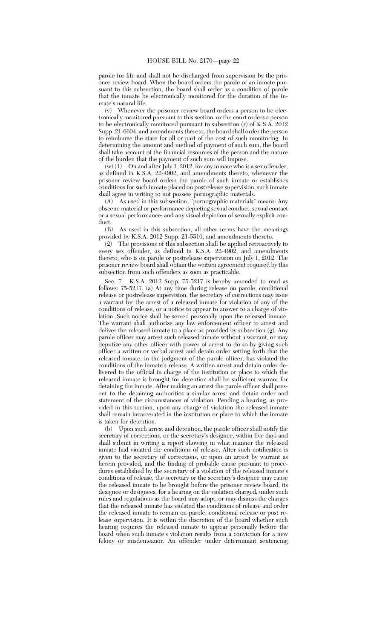parole for life and shall not be discharged from supervision by the prisoner review board. When the board orders the parole of an inmate pursuant to this subsection, the board shall order as a condition of parole that the inmate be electronically monitored for the duration of the inmate's natural life.

(v) Whenever the prisoner review board orders a person to be electronically monitored pursuant to this section, or the court orders a person to be electronically monitored pursuant to subsection (r) of K.S.A. 2012 Supp. 21-6604, and amendments thereto, the board shall order the person to reimburse the state for all or part of the cost of such monitoring. In determining the amount and method of payment of such sum, the board shall take account of the financial resources of the person and the nature of the burden that the payment of such sum will impose.

 $(w)$  (1) On and after July 1, 2012, for any inmate who is a sex offender, as defined in K.S.A. 22-4902, and amendments thereto, whenever the prisoner review board orders the parole of such inmate or establishes conditions for such inmate placed on postrelease supervision, such inmate shall agree in writing to not possess pornographic materials.

(A) As used in this subsection, ''pornographic materials'' means: Any obscene material or performance depicting sexual conduct, sexual contact or a sexual performance; and any visual depiction of sexually explicit conduct.

(B) As used in this subsection, all other terms have the meanings provided by K.S.A. 2012 Supp. 21-5510, and amendments thereto.

(2) The provisions of this subsection shall be applied retroactively to every sex offender, as defined in K.S.A. 22-4902, and amendments thereto, who is on parole or postrelease supervision on July 1, 2012. The prisoner review board shall obtain the written agreement required by this subsection from such offenders as soon as practicable.

Sec. 7. K.S.A. 2012 Supp. 75-5217 is hereby amended to read as follows: 75-5217. (a) At any time during release on parole, conditional release or postrelease supervision, the secretary of corrections may issue a warrant for the arrest of a released inmate for violation of any of the conditions of release, or a notice to appear to answer to a charge of violation. Such notice shall be served personally upon the released inmate. The warrant shall authorize any law enforcement officer to arrest and deliver the released inmate to a place as provided by subsection (g). Any parole officer may arrest such released inmate without a warrant, or may deputize any other officer with power of arrest to do so by giving such officer a written or verbal arrest and detain order setting forth that the released inmate, in the judgment of the parole officer, has violated the conditions of the inmate's release. A written arrest and detain order delivered to the official in charge of the institution or place to which the released inmate is brought for detention shall be sufficient warrant for detaining the inmate. After making an arrest the parole officer shall present to the detaining authorities a similar arrest and detain order and statement of the circumstances of violation. Pending a hearing, as provided in this section, upon any charge of violation the released inmate shall remain incarcerated in the institution or place to which the inmate is taken for detention.

(b) Upon such arrest and detention, the parole officer shall notify the secretary of corrections, or the secretary's designee, within five days and shall submit in writing a report showing in what manner the released inmate had violated the conditions of release. After such notification is given to the secretary of corrections, or upon an arrest by warrant as herein provided, and the finding of probable cause pursuant to procedures established by the secretary of a violation of the released inmate's conditions of release, the secretary or the secretary's designee may cause the released inmate to be brought before the prisoner review board, its designee or designees, for a hearing on the violation charged, under such rules and regulations as the board may adopt, or may dismiss the charges that the released inmate has violated the conditions of release and order the released inmate to remain on parole, conditional release or post release supervision. It is within the discretion of the board whether such hearing requires the released inmate to appear personally before the board when such inmate's violation results from a conviction for a new felony or misdemeanor. An offender under determinant sentencing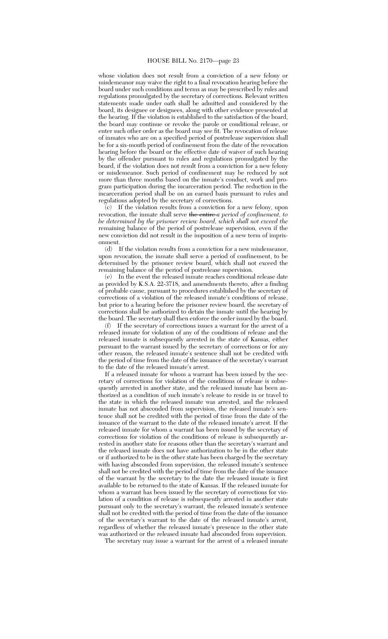whose violation does not result from a conviction of a new felony or misdemeanor may waive the right to a final revocation hearing before the board under such conditions and terms as may be prescribed by rules and regulations promulgated by the secretary of corrections. Relevant written statements made under oath shall be admitted and considered by the board, its designee or designees, along with other evidence presented at the hearing. If the violation is established to the satisfaction of the board, the board may continue or revoke the parole or conditional release, or enter such other order as the board may see fit. The revocation of release of inmates who are on a specified period of postrelease supervision shall be for a six-month period of confinement from the date of the revocation hearing before the board or the effective date of waiver of such hearing by the offender pursuant to rules and regulations promulgated by the board, if the violation does not result from a conviction for a new felony or misdemeanor. Such period of confinement may be reduced by not more than three months based on the inmate's conduct, work and program participation during the incarceration period. The reduction in the incarceration period shall be on an earned basis pursuant to rules and regulations adopted by the secretary of corrections.

(c) If the violation results from a conviction for a new felony, upon revocation, the inmate shall serve the entire *a period of confinement, to be determined by the prisoner review board, which shall not exceed the* remaining balance of the period of postrelease supervision*,* even if the new conviction did not result in the imposition of a new term of imprisonment.

(d) If the violation results from a conviction for a new misdemeanor, upon revocation, the inmate shall serve a period of confinement, to be determined by the prisoner review board, which shall not exceed the remaining balance of the period of postrelease supervision.

(e) In the event the released inmate reaches conditional release date as provided by K.S.A. 22-3718, and amendments thereto, after a finding of probable cause, pursuant to procedures established by the secretary of corrections of a violation of the released inmate's conditions of release, but prior to a hearing before the prisoner review board, the secretary of corrections shall be authorized to detain the inmate until the hearing by the board. The secretary shall then enforce the order issued by the board.

(f) If the secretary of corrections issues a warrant for the arrest of a released inmate for violation of any of the conditions of release and the released inmate is subsequently arrested in the state of Kansas, either pursuant to the warrant issued by the secretary of corrections or for any other reason, the released inmate's sentence shall not be credited with the period of time from the date of the issuance of the secretary's warrant to the date of the released inmate's arrest.

If a released inmate for whom a warrant has been issued by the secretary of corrections for violation of the conditions of release is subsequently arrested in another state, and the released inmate has been authorized as a condition of such inmate's release to reside in or travel to the state in which the released inmate was arrested, and the released inmate has not absconded from supervision, the released inmate's sentence shall not be credited with the period of time from the date of the issuance of the warrant to the date of the released inmate's arrest. If the released inmate for whom a warrant has been issued by the secretary of corrections for violation of the conditions of release is subsequently arrested in another state for reasons other than the secretary's warrant and the released inmate does not have authorization to be in the other state or if authorized to be in the other state has been charged by the secretary with having absconded from supervision, the released inmate's sentence shall not be credited with the period of time from the date of the issuance of the warrant by the secretary to the date the released inmate is first available to be returned to the state of Kansas. If the released inmate for whom a warrant has been issued by the secretary of corrections for violation of a condition of release is subsequently arrested in another state pursuant only to the secretary's warrant, the released inmate's sentence shall not be credited with the period of time from the date of the issuance of the secretary's warrant to the date of the released inmate's arrest, regardless of whether the released inmate's presence in the other state was authorized or the released inmate had absconded from supervision.

The secretary may issue a warrant for the arrest of a released inmate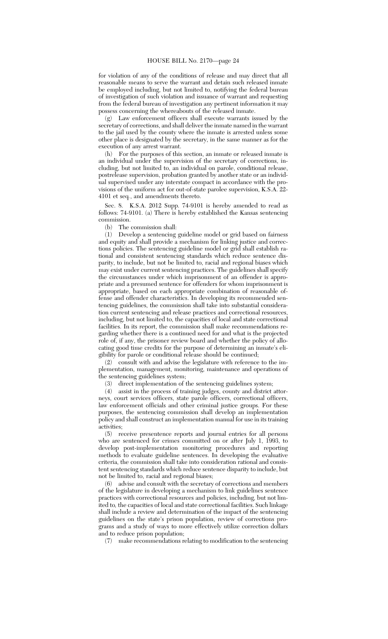for violation of any of the conditions of release and may direct that all reasonable means to serve the warrant and detain such released inmate be employed including, but not limited to, notifying the federal bureau of investigation of such violation and issuance of warrant and requesting from the federal bureau of investigation any pertinent information it may possess concerning the whereabouts of the released inmate.

(g) Law enforcement officers shall execute warrants issued by the secretary of corrections, and shall deliver the inmate named in the warrant to the jail used by the county where the inmate is arrested unless some other place is designated by the secretary, in the same manner as for the execution of any arrest warrant.

(h) For the purposes of this section, an inmate or released inmate is an individual under the supervision of the secretary of corrections, including, but not limited to, an individual on parole, conditional release, postrelease supervision, probation granted by another state or an individual supervised under any interstate compact in accordance with the provisions of the uniform act for out-of-state parolee supervision, K.S.A. 22- 4101 et seq*.*, and amendments thereto.

Sec. 8. K.S.A. 2012 Supp. 74-9101 is hereby amended to read as follows: 74-9101. (a) There is hereby established the Kansas sentencing commission.

(b) The commission shall:

(1) Develop a sentencing guideline model or grid based on fairness and equity and shall provide a mechanism for linking justice and corrections policies. The sentencing guideline model or grid shall establish rational and consistent sentencing standards which reduce sentence disparity, to include, but not be limited to, racial and regional biases which may exist under current sentencing practices. The guidelines shall specify the circumstances under which imprisonment of an offender is appropriate and a presumed sentence for offenders for whom imprisonment is appropriate, based on each appropriate combination of reasonable offense and offender characteristics. In developing its recommended sentencing guidelines, the commission shall take into substantial consideration current sentencing and release practices and correctional resources, including, but not limited to, the capacities of local and state correctional facilities. In its report, the commission shall make recommendations regarding whether there is a continued need for and what is the projected role of, if any, the prisoner review board and whether the policy of allocating good time credits for the purpose of determining an inmate's eligibility for parole or conditional release should be continued;

(2) consult with and advise the legislature with reference to the implementation, management, monitoring, maintenance and operations of the sentencing guidelines system;

(3) direct implementation of the sentencing guidelines system;

(4) assist in the process of training judges, county and district attorneys, court services officers, state parole officers, correctional officers, law enforcement officials and other criminal justice groups. For these purposes, the sentencing commission shall develop an implementation policy and shall construct an implementation manual for use in its training activities;

(5) receive presentence reports and journal entries for all persons who are sentenced for crimes committed on or after July 1, 1993, to develop post-implementation monitoring procedures and reporting methods to evaluate guideline sentences. In developing the evaluative criteria, the commission shall take into consideration rational and consistent sentencing standards which reduce sentence disparity to include, but not be limited to, racial and regional biases;

(6) advise and consult with the secretary of corrections and members of the legislature in developing a mechanism to link guidelines sentence practices with correctional resources and policies, including*,* but not limited to*,* the capacities of local and state correctional facilities. Such linkage shall include a review and determination of the impact of the sentencing guidelines on the state's prison population, review of corrections programs and a study of ways to more effectively utilize correction dollars and to reduce prison population;

(7) make recommendations relating to modification to the sentencing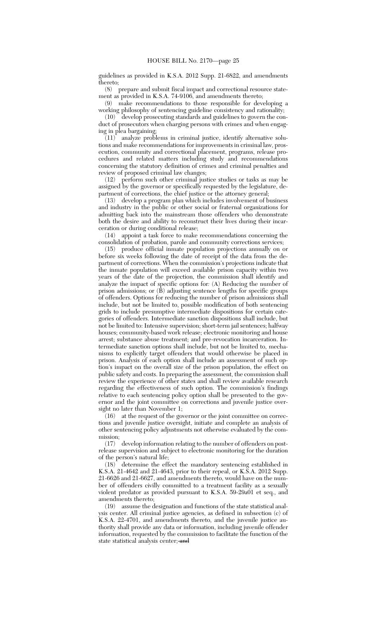guidelines as provided in K.S.A. 2012 Supp. 21-6822, and amendments thereto;<br> $(8)$ 

prepare and submit fiscal impact and correctional resource statement as provided in K.S.A. 74-9106, and amendments thereto;

(9) make recommendations to those responsible for developing a working philosophy of sentencing guideline consistency and rationality;

(10) develop prosecuting standards and guidelines to govern the conduct of prosecutors when charging persons with crimes and when engaging in plea bargaining;

 $(11)$  analyze problems in criminal justice, identify alternative solutions and make recommendations for improvements in criminal law, prosecution, community and correctional placement, programs, release procedures and related matters including study and recommendations concerning the statutory definition of crimes and criminal penalties and review of proposed criminal law changes;<br>(12) perform such other criminal just

(12) perform such other criminal justice studies or tasks as may be assigned by the governor or specifically requested by the legislature, department of corrections, the chief justice or the attorney general;

(13) develop a program plan which includes involvement of business and industry in the public or other social or fraternal organizations for admitting back into the mainstream those offenders who demonstrate both the desire and ability to reconstruct their lives during their incarceration or during conditional release;<br>(14) appoint a task force to make

appoint a task force to make recommendations concerning the consolidation of probation, parole and community corrections services;

(15) produce official inmate population projections annually on or before six weeks following the date of receipt of the data from the department of corrections. When the commission's projections indicate that the inmate population will exceed available prison capacity within two years of the date of the projection, the commission shall identify and analyze the impact of specific options for*:* (A) Reducing the number of prison admissions; or (B) adjusting sentence lengths for specific groups of offenders. Options for reducing the number of prison admissions shall include, but not be limited to, possible modification of both sentencing grids to include presumptive intermediate dispositions for certain categories of offenders. Intermediate sanction dispositions shall include, but not be limited to: Intensive supervision; short-term jail sentences; halfway houses; community-based work release; electronic monitoring and house arrest; substance abuse treatment; and pre-revocation incarceration. Intermediate sanction options shall include, but not be limited to, mechanisms to explicitly target offenders that would otherwise be placed in prison. Analysis of each option shall include an assessment of such option's impact on the overall size of the prison population, the effect on public safety and costs. In preparing the assessment, the commission shall review the experience of other states and shall review available research regarding the effectiveness of such option. The commission's findings relative to each sentencing policy option shall be presented to the governor and the joint committee on corrections and juvenile justice oversight no later than November 1;

(16) at the request of the governor or the joint committee on corrections and juvenile justice oversight, initiate and complete an analysis of other sentencing policy adjustments not otherwise evaluated by the commission;

(17) develop information relating to the number of offenders on postrelease supervision and subject to electronic monitoring for the duration of the person's natural life;

(18) determine the effect the mandatory sentencing established in K.S.A. 21-4642 and 21-4643, prior to their repeal, or K.S.A. 2012 Supp. 21-6626 and 21-6627, and amendments thereto, would have on the number of offenders civilly committed to a treatment facility as a sexually violent predator as provided pursuant to K.S.A. 59-29a01 et seq., and amendments thereto;

(19) assume the designation and functions of the state statistical analysis center. All criminal justice agencies, as defined in subsection (c) of K.S.A. 22-4701, and amendments thereto, and the juvenile justice authority shall provide any data or information, including juvenile offender information, requested by the commission to facilitate the function of the state statistical analysis center; and